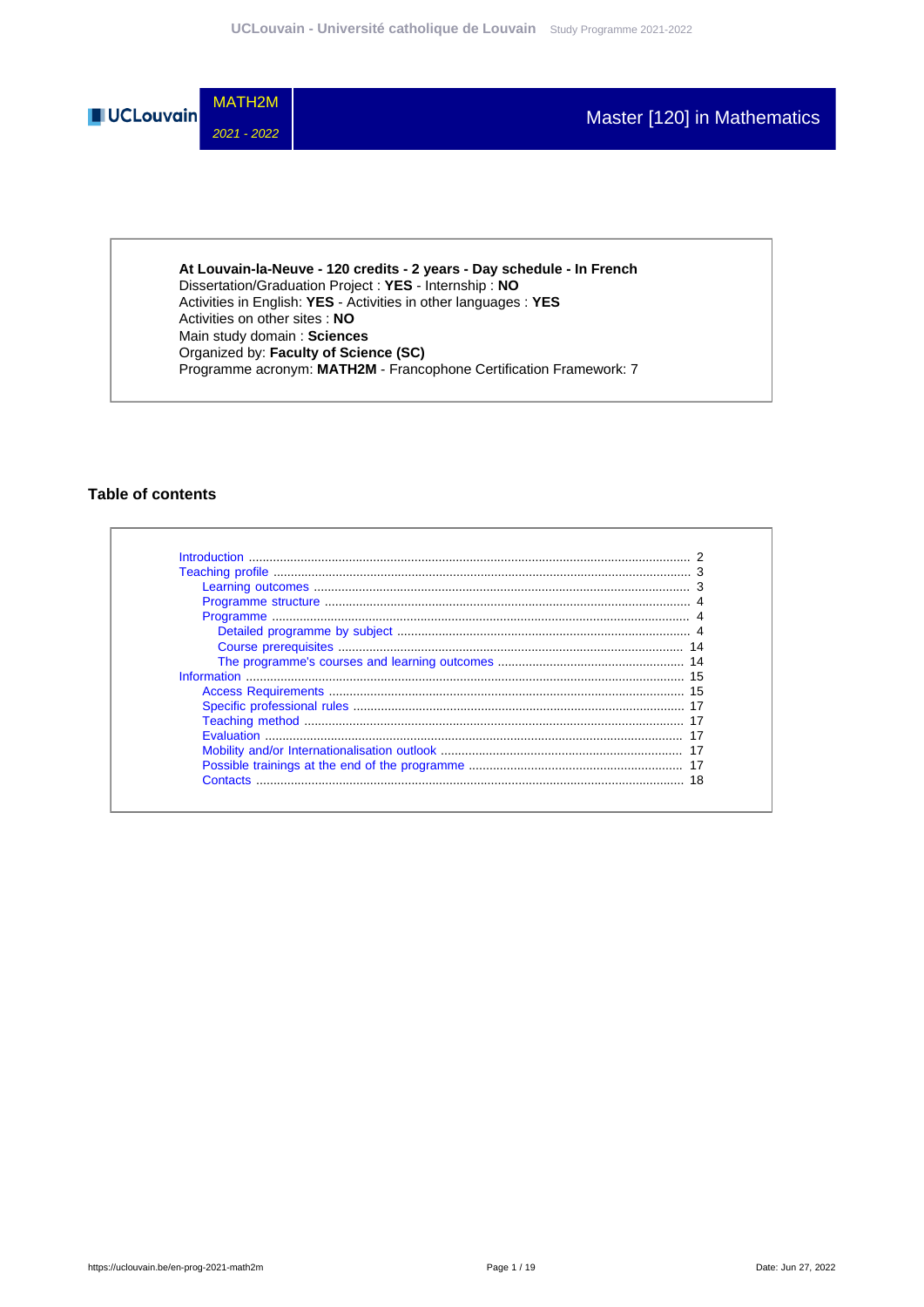

**At Louvain-la-Neuve - 120 credits - 2 years - Day schedule - In French** Dissertation/Graduation Project : **YES** - Internship : **NO** Activities in English: **YES** - Activities in other languages : **YES** Activities on other sites : **NO** Main study domain : **Sciences** Organized by: **Faculty of Science (SC)** Programme acronym: **MATH2M** - Francophone Certification Framework: 7

### **Table of contents**

| Contacts |  |
|----------|--|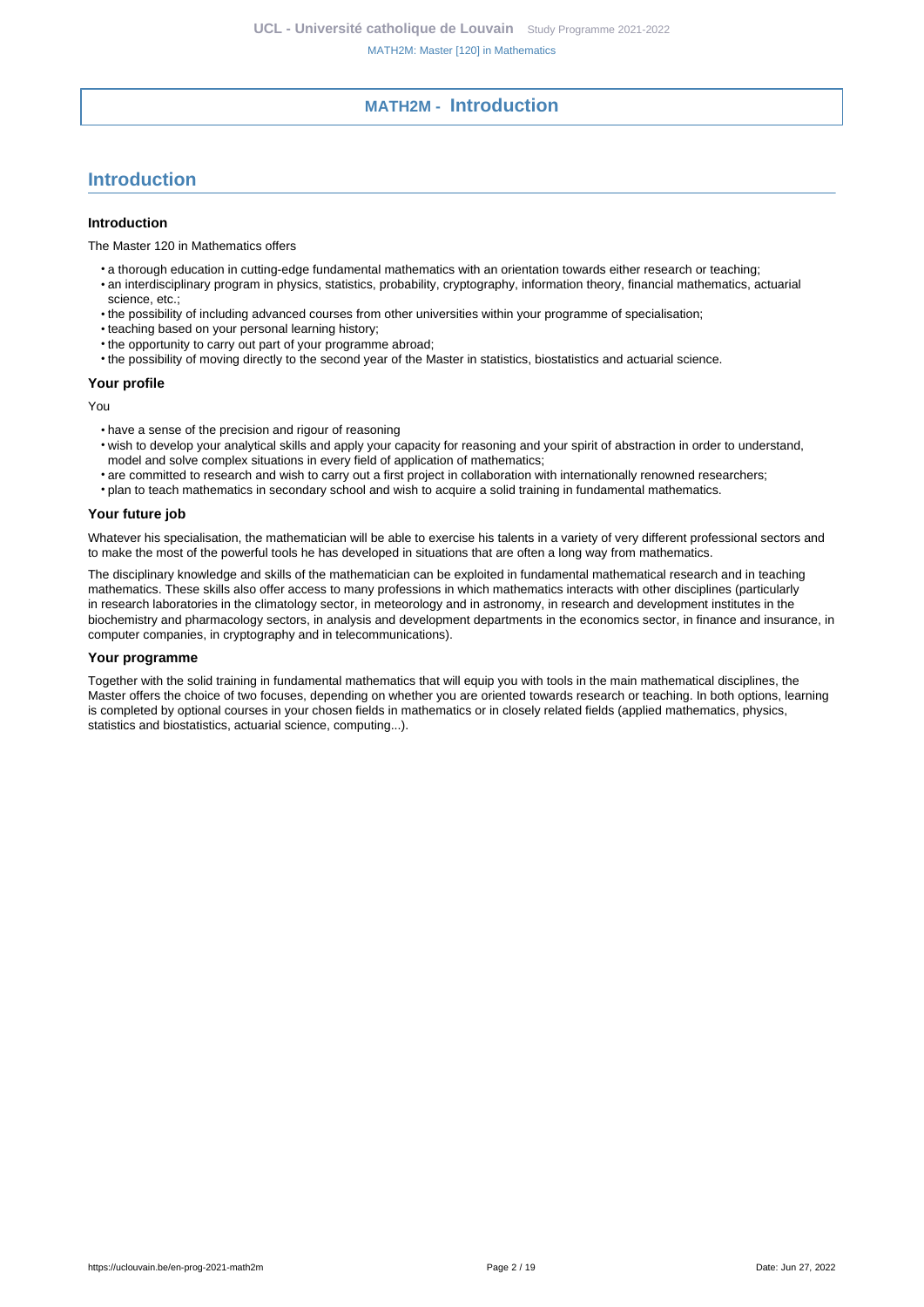### **MATH2M - Introduction**

### <span id="page-1-0"></span>**Introduction**

#### **Introduction**

The Master 120 in Mathematics offers

- a thorough education in cutting-edge fundamental mathematics with an orientation towards either research or teaching:
- an interdisciplinary program in physics, statistics, probability, cryptography, information theory, financial mathematics, actuarial science, etc.;
- the possibility of including advanced courses from other universities within your programme of specialisation;
- teaching based on your personal learning history;
- the opportunity to carry out part of your programme abroad;
- the possibility of moving directly to the second year of the Master in statistics, biostatistics and actuarial science.

#### **Your profile**

You

- have a sense of the precision and rigour of reasoning
- wish to develop your analytical skills and apply your capacity for reasoning and your spirit of abstraction in order to understand, model and solve complex situations in every field of application of mathematics;
- are committed to research and wish to carry out a first project in collaboration with internationally renowned researchers;
- plan to teach mathematics in secondary school and wish to acquire a solid training in fundamental mathematics.

#### **Your future job**

Whatever his specialisation, the mathematician will be able to exercise his talents in a variety of very different professional sectors and to make the most of the powerful tools he has developed in situations that are often a long way from mathematics.

The disciplinary knowledge and skills of the mathematician can be exploited in fundamental mathematical research and in teaching mathematics. These skills also offer access to many professions in which mathematics interacts with other disciplines (particularly in research laboratories in the climatology sector, in meteorology and in astronomy, in research and development institutes in the biochemistry and pharmacology sectors, in analysis and development departments in the economics sector, in finance and insurance, in computer companies, in cryptography and in telecommunications).

#### **Your programme**

Together with the solid training in fundamental mathematics that will equip you with tools in the main mathematical disciplines, the Master offers the choice of two focuses, depending on whether you are oriented towards research or teaching. In both options, learning is completed by optional courses in your chosen fields in mathematics or in closely related fields (applied mathematics, physics, statistics and biostatistics, actuarial science, computing...).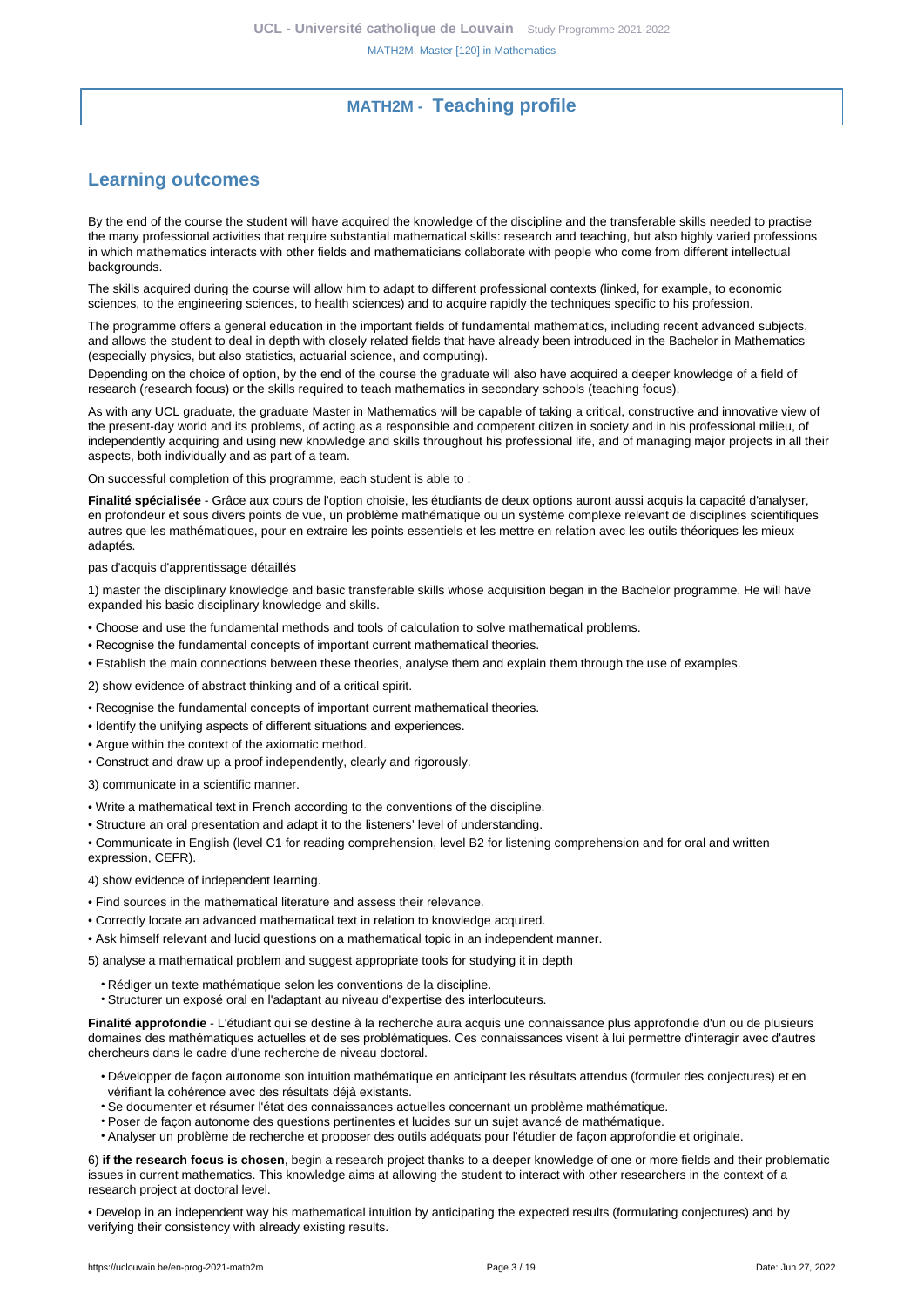### **MATH2M - Teaching profile**

### <span id="page-2-1"></span><span id="page-2-0"></span>**Learning outcomes**

By the end of the course the student will have acquired the knowledge of the discipline and the transferable skills needed to practise the many professional activities that require substantial mathematical skills: research and teaching, but also highly varied professions in which mathematics interacts with other fields and mathematicians collaborate with people who come from different intellectual backgrounds.

The skills acquired during the course will allow him to adapt to different professional contexts (linked, for example, to economic sciences, to the engineering sciences, to health sciences) and to acquire rapidly the techniques specific to his profession.

The programme offers a general education in the important fields of fundamental mathematics, including recent advanced subjects, and allows the student to deal in depth with closely related fields that have already been introduced in the Bachelor in Mathematics (especially physics, but also statistics, actuarial science, and computing).

Depending on the choice of option, by the end of the course the graduate will also have acquired a deeper knowledge of a field of research (research focus) or the skills required to teach mathematics in secondary schools (teaching focus).

As with any UCL graduate, the graduate Master in Mathematics will be capable of taking a critical, constructive and innovative view of the present-day world and its problems, of acting as a responsible and competent citizen in society and in his professional milieu, of independently acquiring and using new knowledge and skills throughout his professional life, and of managing major projects in all their aspects, both individually and as part of a team.

On successful completion of this programme, each student is able to :

**Finalité spécialisée** - Grâce aux cours de l'option choisie, les étudiants de deux options auront aussi acquis la capacité d'analyser, en profondeur et sous divers points de vue, un problème mathématique ou un système complexe relevant de disciplines scientifiques autres que les mathématiques, pour en extraire les points essentiels et les mettre en relation avec les outils théoriques les mieux adaptés.

pas d'acquis d'apprentissage détaillés

1) master the disciplinary knowledge and basic transferable skills whose acquisition began in the Bachelor programme. He will have expanded his basic disciplinary knowledge and skills.

- Choose and use the fundamental methods and tools of calculation to solve mathematical problems.
- Recognise the fundamental concepts of important current mathematical theories.
- Establish the main connections between these theories, analyse them and explain them through the use of examples.

2) show evidence of abstract thinking and of a critical spirit.

- Recognise the fundamental concepts of important current mathematical theories.
- Identify the unifying aspects of different situations and experiences.
- Argue within the context of the axiomatic method.
- Construct and draw up a proof independently, clearly and rigorously.

3) communicate in a scientific manner.

- Write a mathematical text in French according to the conventions of the discipline.
- Structure an oral presentation and adapt it to the listeners' level of understanding.

• Communicate in English (level C1 for reading comprehension, level B2 for listening comprehension and for oral and written expression, CEFR).

4) show evidence of independent learning.

- Find sources in the mathematical literature and assess their relevance.
- Correctly locate an advanced mathematical text in relation to knowledge acquired.
- Ask himself relevant and lucid questions on a mathematical topic in an independent manner.

5) analyse a mathematical problem and suggest appropriate tools for studying it in depth

- Rédiger un texte mathématique selon les conventions de la discipline.
- Structurer un exposé oral en l'adaptant au niveau d'expertise des interlocuteurs.

**Finalité approfondie** - L'étudiant qui se destine à la recherche aura acquis une connaissance plus approfondie d'un ou de plusieurs domaines des mathématiques actuelles et de ses problématiques. Ces connaissances visent à lui permettre d'interagir avec d'autres chercheurs dans le cadre d'une recherche de niveau doctoral.

- Développer de façon autonome son intuition mathématique en anticipant les résultats attendus (formuler des conjectures) et en vérifiant la cohérence avec des résultats déjà existants.
- Se documenter et résumer l'état des connaissances actuelles concernant un problème mathématique.
- Poser de façon autonome des questions pertinentes et lucides sur un sujet avancé de mathématique.
- Analyser un problème de recherche et proposer des outils adéquats pour l'étudier de façon approfondie et originale.

6) **if the research focus is chosen**, begin a research project thanks to a deeper knowledge of one or more fields and their problematic issues in current mathematics. This knowledge aims at allowing the student to interact with other researchers in the context of a research project at doctoral level.

• Develop in an independent way his mathematical intuition by anticipating the expected results (formulating conjectures) and by verifying their consistency with already existing results.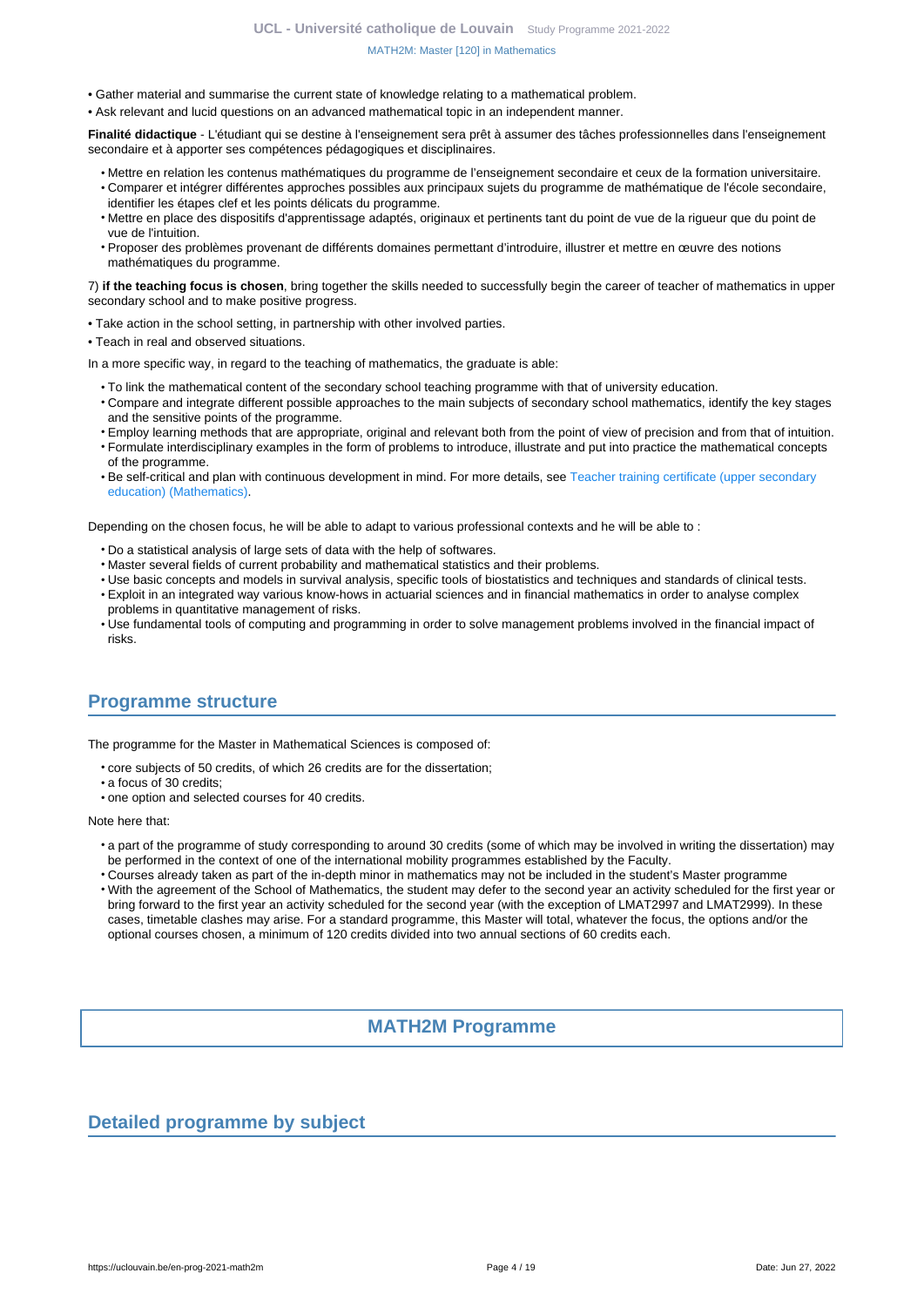- Gather material and summarise the current state of knowledge relating to a mathematical problem.
- Ask relevant and lucid questions on an advanced mathematical topic in an independent manner.

**Finalité didactique** - L'étudiant qui se destine à l'enseignement sera prêt à assumer des tâches professionnelles dans l'enseignement secondaire et à apporter ses compétences pédagogiques et disciplinaires.

- Mettre en relation les contenus mathématiques du programme de l'enseignement secondaire et ceux de la formation universitaire.
- Comparer et intégrer différentes approches possibles aux principaux sujets du programme de mathématique de l'école secondaire, identifier les étapes clef et les points délicats du programme.
- Mettre en place des dispositifs d'apprentissage adaptés, originaux et pertinents tant du point de vue de la rigueur que du point de vue de l'intuition.
- Proposer des problèmes provenant de différents domaines permettant d'introduire, illustrer et mettre en œuvre des notions mathématiques du programme.

7) **if the teaching focus is chosen**, bring together the skills needed to successfully begin the career of teacher of mathematics in upper secondary school and to make positive progress.

- Take action in the school setting, in partnership with other involved parties.
- Teach in real and observed situations.

In a more specific way, in regard to the teaching of mathematics, the graduate is able:

- To link the mathematical content of the secondary school teaching programme with that of university education.
- Compare and integrate different possible approaches to the main subjects of secondary school mathematics, identify the key stages and the sensitive points of the programme.
- Employ learning methods that are appropriate, original and relevant both from the point of view of precision and from that of intuition. • Formulate interdisciplinary examples in the form of problems to introduce, illustrate and put into practice the mathematical concepts
- of the programme.
- Be self-critical and plan with continuous development in mind. For more details, see [Teacher training certificate \(upper secondary](https://uclouvain.be/en-prog-2019-math2a) [education\) \(Mathematics\).](https://uclouvain.be/en-prog-2019-math2a)

Depending on the chosen focus, he will be able to adapt to various professional contexts and he will be able to:

- Do a statistical analysis of large sets of data with the help of softwares.
- Master several fields of current probability and mathematical statistics and their problems.
- Use basic concepts and models in survival analysis, specific tools of biostatistics and techniques and standards of clinical tests.
- Exploit in an integrated way various know-hows in actuarial sciences and in financial mathematics in order to analyse complex problems in quantitative management of risks.
- Use fundamental tools of computing and programming in order to solve management problems involved in the financial impact of risks.

### <span id="page-3-0"></span>**Programme structure**

The programme for the Master in Mathematical Sciences is composed of:

- core subjects of 50 credits, of which 26 credits are for the dissertation;
- a focus of 30 credits;
- one option and selected courses for 40 credits.

Note here that:

- a part of the programme of study corresponding to around 30 credits (some of which may be involved in writing the dissertation) may be performed in the context of one of the international mobility programmes established by the Faculty.
- Courses already taken as part of the in-depth minor in mathematics may not be included in the student's Master programme
- With the agreement of the School of Mathematics, the student may defer to the second year an activity scheduled for the first year or bring forward to the first year an activity scheduled for the second year (with the exception of LMAT2997 and LMAT2999). In these cases, timetable clashes may arise. For a standard programme, this Master will total, whatever the focus, the options and/or the optional courses chosen, a minimum of 120 credits divided into two annual sections of 60 credits each.

### **MATH2M Programme**

### <span id="page-3-2"></span><span id="page-3-1"></span>**Detailed programme by subject**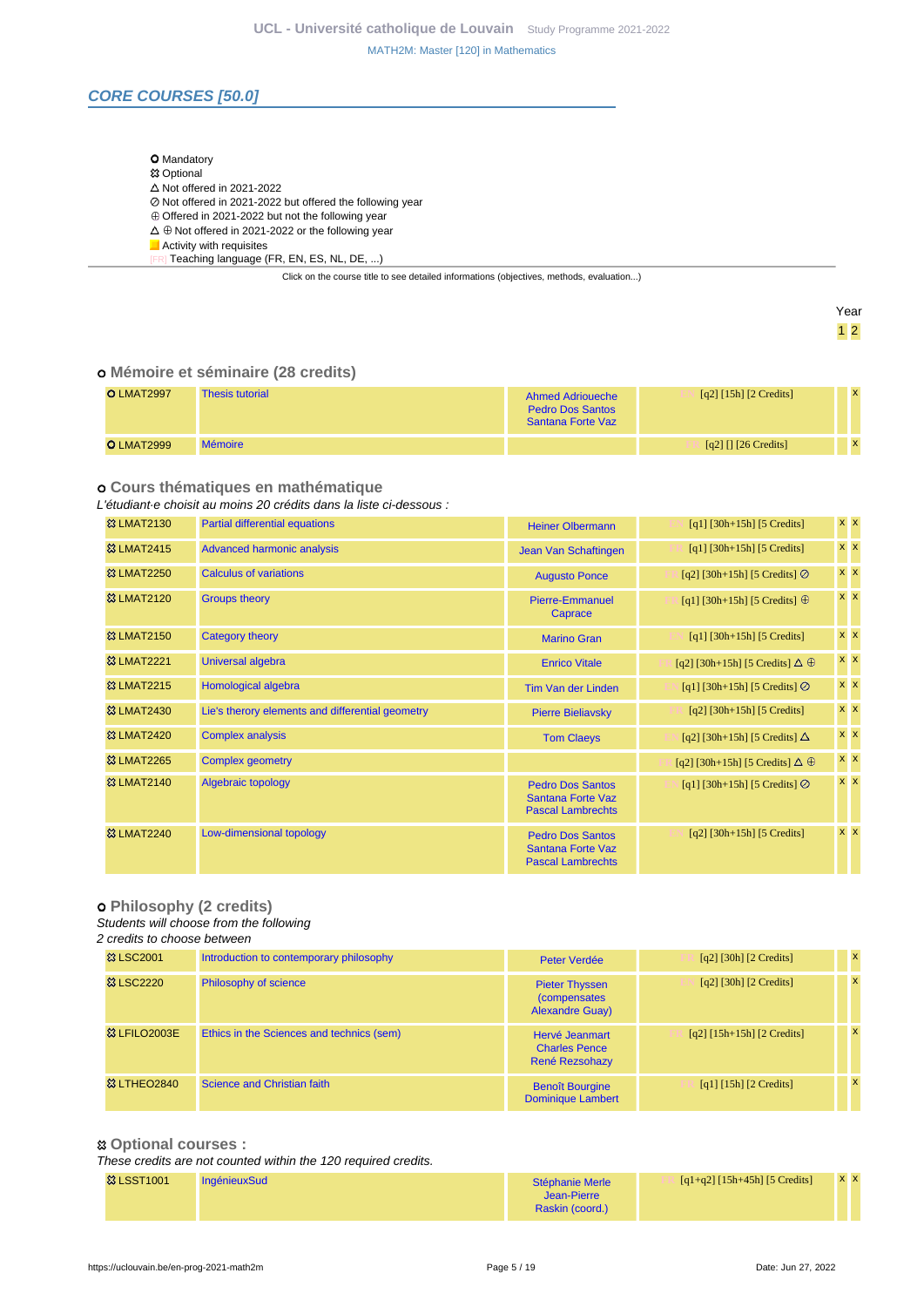### **CORE COURSES [50.0]**

#### O Mandatory

- **83 Optional**
- $\triangle$  Not offered in 2021-2022
- Not offered in 2021-2022 but offered the following year
- $\overline{\textcirc}$  Offered in 2021-2022 but not the following year
- $\Delta \oplus$  Not offered in 2021-2022 or the following year
- Activity with requisites
- [FR] Teaching language (FR, EN, ES, NL, DE, ...)

Click on the course title to see detailed informations (objectives, methods, evaluation...)

Year 1 2

#### **Mémoire et séminaire (28 credits)**

| <b>O LMAT2997</b> | <b>Thesis tutorial</b> | Ahmed Adrioueche<br><b>Pedro Dos Santos</b><br>Santana Forte Vaz | $[q2]$ [15h] [2 Credits] |  |
|-------------------|------------------------|------------------------------------------------------------------|--------------------------|--|
| <b>O</b> LMAT2999 | <b>Mémoire</b>         |                                                                  | [q2] $[1]$ [26 Credits]  |  |

#### **Cours thématiques en mathématique**

### L'étudiant·e choisit au moins 20 crédits dans la liste ci-dessous :

| <b>&amp;3 LMAT2130</b> | <b>Partial differential equations</b>            | <b>Heiner Olbermann</b>                                                         | $[q1]$ [30h+15h] [5 Credits]               | $x \mathbf{X}$ |
|------------------------|--------------------------------------------------|---------------------------------------------------------------------------------|--------------------------------------------|----------------|
| <b>&amp;3 LMAT2415</b> | <b>Advanced harmonic analysis</b>                | Jean Van Schaftingen                                                            | $[q1]$ [30h+15h] [5 Credits]               | $x \, x$       |
| <b>&amp; LMAT2250</b>  | Calculus of variations                           | <b>Augusto Ponce</b>                                                            | [q2] [30h+15h] [5 Credits] $\oslash$       | $x \, x$       |
| <b>&amp;3 LMAT2120</b> | <b>Groups theory</b>                             | <b>Pierre-Emmanuel</b><br>Caprace                                               | [q1] [30h+15h] [5 Credits] $\oplus$        | $x \mathbf{X}$ |
| <b>&amp;3 LMAT2150</b> | Category theory                                  | <b>Marino Gran</b>                                                              | $[q1]$ [30h+15h] [5 Credits]               | $x \mathbf{X}$ |
| <b>&amp;3 LMAT2221</b> | Universal algebra                                | <b>Enrico Vitale</b>                                                            | [q2] [30h+15h] [5 Credits] $\Delta \oplus$ | $x \, x$       |
| <b>&amp;3 LMAT2215</b> | Homological algebra                              | <b>Tim Van der Linden</b>                                                       | [q1] [30h+15h] [5 Credits] $\oslash$       | $x \, x$       |
| <b>&amp;3 LMAT2430</b> | Lie's therory elements and differential geometry | <b>Pierre Bieliavsky</b>                                                        | $[q2]$ [30h+15h] [5 Credits]               | $x \, x$       |
| <b>&amp;3 LMAT2420</b> | <b>Complex analysis</b>                          | <b>Tom Claeys</b>                                                               | [q2] [30h+15h] [5 Credits] $\Delta$        | $x \, x$       |
| <b>&amp;3 LMAT2265</b> | <b>Complex geometry</b>                          |                                                                                 | [q2] [30h+15h] [5 Credits] $\Delta \oplus$ | $x \mathbf{X}$ |
| <b>&amp;3 LMAT2140</b> | Algebraic topology                               | <b>Pedro Dos Santos</b><br><b>Santana Forte Vaz</b><br><b>Pascal Lambrechts</b> | [q1] [30h+15h] [5 Credits] $\oslash$       | $x \mid x$     |
| <b>&amp;3 LMAT2240</b> | Low-dimensional topology                         | <b>Pedro Dos Santos</b><br><b>Santana Forte Vaz</b><br><b>Pascal Lambrechts</b> | $[q2]$ [30h+15h] [5 Credits]               | $x \times$     |

#### **Philosophy (2 credits)**

#### Students will choose from the following

#### 2 credits to choose between

| <b>83 LSC2001</b>        | Introduction to contemporary philosophy   | Peter Verdée                                                            | $\lceil q^2 \rceil$ [30h] $\lceil 2 \right\rceil$ Credits] | $\mathbf{x}$ |
|--------------------------|-------------------------------------------|-------------------------------------------------------------------------|------------------------------------------------------------|--------------|
| <b>&amp; LSC2220</b>     | Philosophy of science                     | <b>Pieter Thyssen</b><br><i>(compensates)</i><br><b>Alexandre Guay)</b> | $\lceil q^2 \rceil$ [30h] $\lceil 2 \right\rceil$ Credits] | $\mathbf{x}$ |
| <sup>33</sup> LFILO2003E | Ethics in the Sciences and technics (sem) | Hervé Jeanmart<br><b>Charles Pence</b><br>René Rezsohazy                | $[q2] [15h+15h] [2 Credits]$                               | $\mathbf{x}$ |
| <b>&amp; LTHEO2840</b>   | Science and Christian faith               | <b>Benoît Bourgine</b><br><b>Dominique Lambert</b>                      | [q1] [15h] [2 Credits]                                     |              |

#### **Optional courses :**

These credits are not counted within the 120 required credits.

| <b>&amp; LSST1001</b> | <b>IngénieuxSud</b> | Stéphanie Merle | $[q1+q2]$ [15h+45h] [5 Credits] | <b>x x</b> |  |
|-----------------------|---------------------|-----------------|---------------------------------|------------|--|
|                       |                     | Jean-Pierre     |                                 |            |  |
|                       |                     | Raskin (coord.) |                                 |            |  |
|                       |                     |                 |                                 |            |  |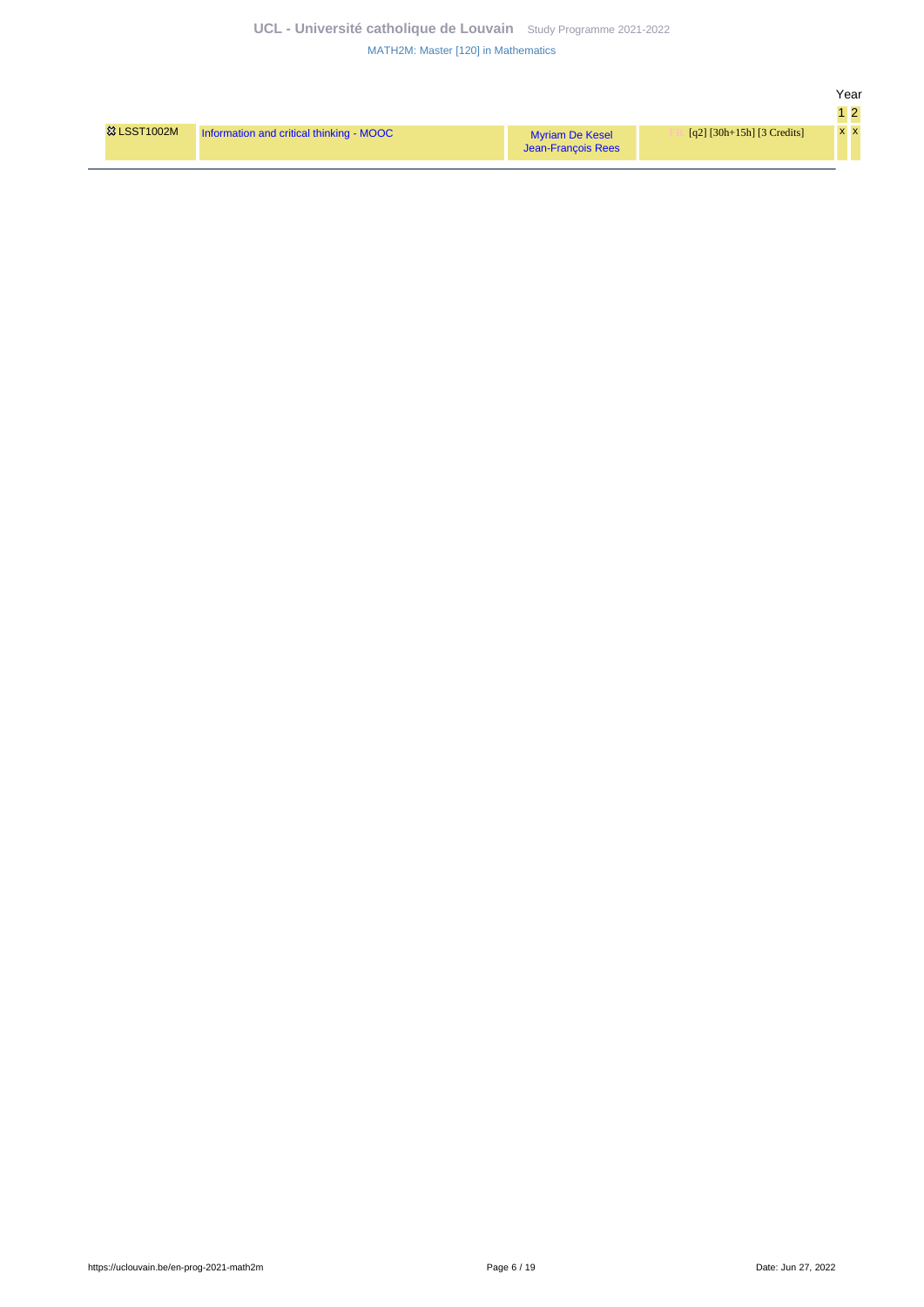| <b>&amp; LSST1002M</b> | Information and critical thinking - MOOC | <b>Myriam De Kesel</b><br>Jean-Francois Rees | [q2] $[30h+15h]$ [3 Credits] | $X$ $\lambda$ |
|------------------------|------------------------------------------|----------------------------------------------|------------------------------|---------------|

Year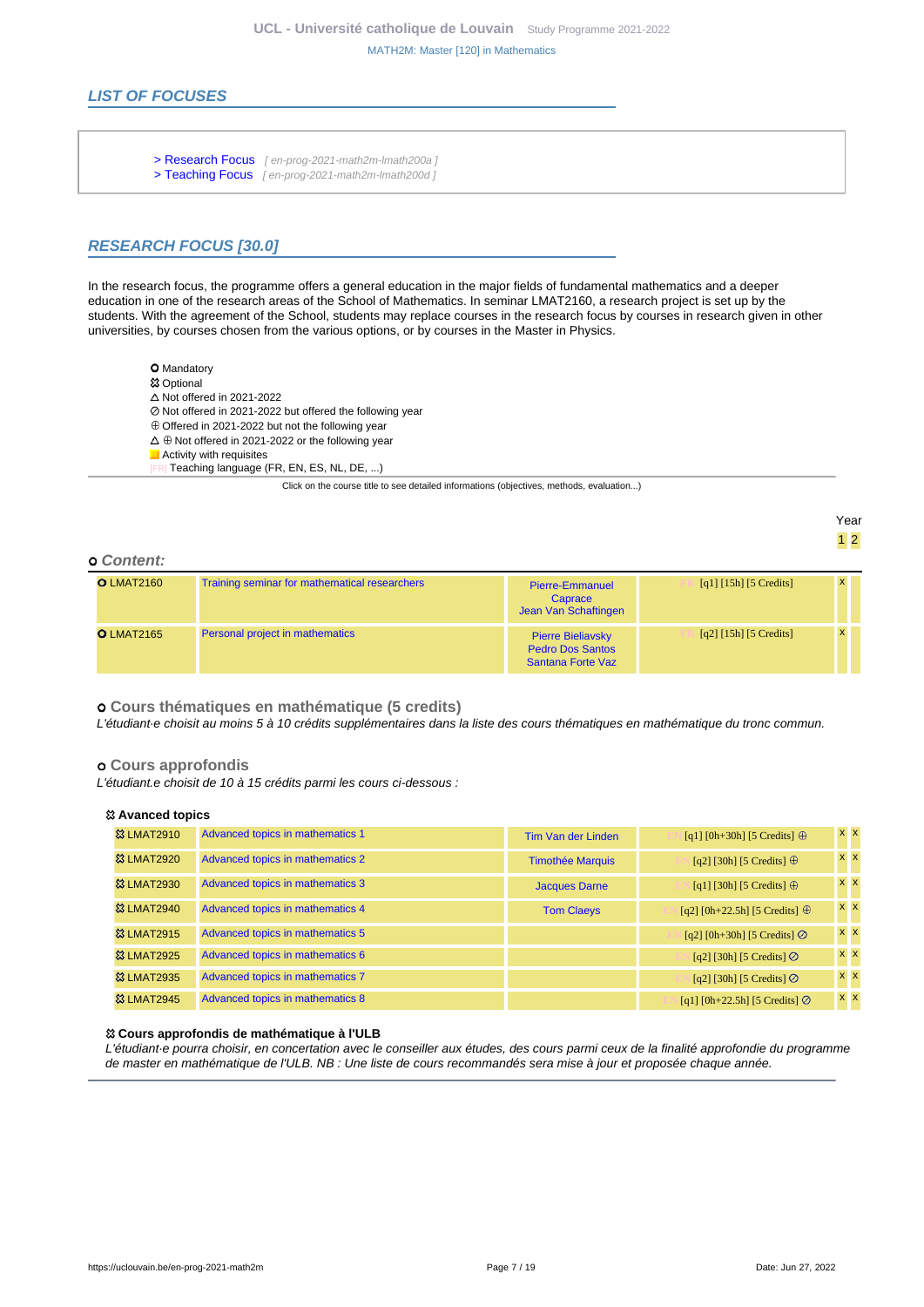### **LIST OF FOCUSES**

- [> Research Focus](en-prog-2021-math2m-lmath200a) [ en-prog-2021-math2m-lmath200a ]
- [> Teaching Focus](en-prog-2021-math2m-lmath200d) [ en-prog-2021-math2m-Imath200d ]

### **RESEARCH FOCUS [30.0]**

In the research focus, the programme offers a general education in the major fields of fundamental mathematics and a deeper education in one of the research areas of the School of Mathematics. In seminar LMAT2160, a research project is set up by the students. With the agreement of the School, students may replace courses in the research focus by courses in research given in other universities, by courses chosen from the various options, or by courses in the Master in Physics.

- **O** Mandatory
- **惢 Optional**
- $\Delta$  Not offered in 2021-2022
- Not offered in 2021-2022 but offered the following year
- $\oplus$  Offered in 2021-2022 but not the following year
- $\Delta \oplus$  Not offered in 2021-2022 or the following year
- $\Box$  Activity with requisites
	- Teaching language (FR, EN, ES, NL, DE, ...)

Click on the course title to see detailed informations (objectives, methods, evaluation...)

Year 1 2

#### **Content:**

| <b>O LMAT2160</b> | Training seminar for mathematical researchers | <b>Pierre-Emmanuel</b><br>Caprace<br>Jean Van Schaftingen                | [q1] $[15h]$ [5 Credits]              |              |  |
|-------------------|-----------------------------------------------|--------------------------------------------------------------------------|---------------------------------------|--------------|--|
| <b>O LMAT2165</b> | Personal project in mathematics               | <b>Pierre Bieliavsky</b><br><b>Pedro Dos Santos</b><br>Santana Forte Vaz | $\lceil q^2 \rceil$ [15h] [5 Credits] | $\mathbf{x}$ |  |

 **Cours thématiques en mathématique (5 credits)**

L'étudiant·e choisit au moins 5 à 10 crédits supplémentaires dans la liste des cours thématiques en mathématique du tronc commun.

#### **Cours approfondis**

L'étudiant.e choisit de 10 à 15 crédits parmi les cours ci-dessous :

#### **Avanced topics**

| <b>&amp;3 LMAT2910</b> | Advanced topics in mathematics 1 | Tim Van der Linden      | [q1] [0h+30h] [5 Credits] $\oplus$    | <b>x</b> x     |
|------------------------|----------------------------------|-------------------------|---------------------------------------|----------------|
| <b>&amp;3 LMAT2920</b> | Advanced topics in mathematics 2 | <b>Timothée Marquis</b> | [q2] [30h] [5 Credits] $\oplus$       | <b>x</b> x     |
| <b>&amp; LMAT2930</b>  | Advanced topics in mathematics 3 | <b>Jacques Darne</b>    | [q1] [30h] [5 Credits] $\oplus$       | <b>x x</b>     |
| <b>&amp; LMAT2940</b>  | Advanced topics in mathematics 4 | <b>Tom Claeys</b>       | [q2] [0h+22.5h] [5 Credits] $\oplus$  | <b>x</b> x     |
| <b>&amp; LMAT2915</b>  | Advanced topics in mathematics 5 |                         | [q2] [0h+30h] [5 Credits] $\oslash$   | $x \times$     |
| <b>&amp; LMAT2925</b>  | Advanced topics in mathematics 6 |                         | [q2] [30h] [5 Credits] $\oslash$      | $x \mathbf{X}$ |
| <b>&amp; LMAT2935</b>  | Advanced topics in mathematics 7 |                         | [q2] [30h] [5 Credits] $\odot$        | $x \times$     |
| <b>&amp; LMAT2945</b>  | Advanced topics in mathematics 8 |                         | [q1] [0h+22.5h] [5 Credits] $\oslash$ | <b>x</b> x     |

#### **Cours approfondis de mathématique à l'ULB**

L'étudiant·e pourra choisir, en concertation avec le conseiller aux études, des cours parmi ceux de la finalité approfondie du programme de master en mathématique de l'ULB. NB : Une liste de cours recommandés sera mise à jour et proposée chaque année.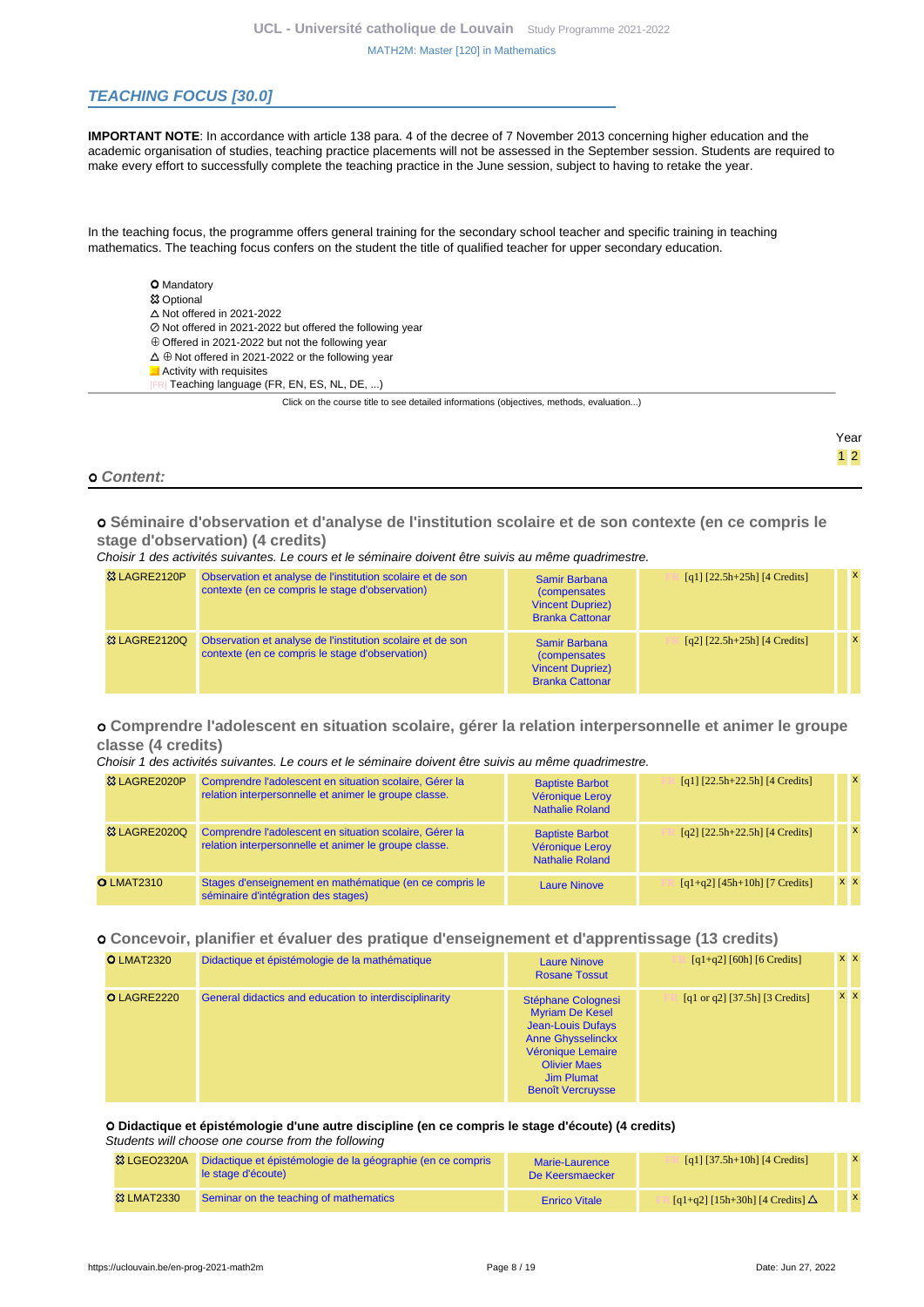### **TEACHING FOCUS [30.0]**

**IMPORTANT NOTE**: In accordance with article 138 para. 4 of the decree of 7 November 2013 concerning higher education and the academic organisation of studies, teaching practice placements will not be assessed in the September session. Students are required to make every effort to successfully complete the teaching practice in the June session, subject to having to retake the year.

In the teaching focus, the programme offers general training for the secondary school teacher and specific training in teaching mathematics. The teaching focus confers on the student the title of qualified teacher for upper secondary education.

**O** Mandatory **83 Optional**  $\triangle$  Not offered in 2021-2022 Not offered in 2021-2022 but offered the following year Offered in 2021-2022 but not the following year  $\Delta \oplus$  Not offered in 2021-2022 or the following year **Activity with requisites** Teaching language (FR, EN, ES, NL, DE, ...)

Click on the course title to see detailed informations (objectives, methods, evaluation...)

#### **Content:**

 **Séminaire d'observation et d'analyse de l'institution scolaire et de son contexte (en ce compris le stage d'observation) (4 credits)**

#### Choisir 1 des activités suivantes. Le cours et le séminaire doivent être suivis au même quadrimestre.

| <sup>3</sup> & LAGRE2120P | Observation et analyse de l'institution scolaire et de son<br>contexte (en ce compris le stage d'observation) | Samir Barbana<br><i>(compensates)</i><br><b>Vincent Dupriez)</b><br><b>Branka Cattonar</b>        | $[q1]$ $[22.5h+25h]$ $[4$ Credits] | $\mathbf{x}$ |
|---------------------------|---------------------------------------------------------------------------------------------------------------|---------------------------------------------------------------------------------------------------|------------------------------------|--------------|
| <b>&amp; LAGRE2120Q</b>   | Observation et analyse de l'institution scolaire et de son<br>contexte (en ce compris le stage d'observation) | <b>Samir Barbana</b><br><i>(compensates)</i><br><b>Vincent Dupriez)</b><br><b>Branka Cattonar</b> | $[q2]$ $[22.5h+25h]$ $[4$ Credits] |              |

#### **Comprendre l'adolescent en situation scolaire, gérer la relation interpersonnelle et animer le groupe classe (4 credits)**

#### Choisir 1 des activités suivantes. Le cours et le séminaire doivent être suivis au même quadrimestre.

| 33 LAGRE2020P            | Comprendre l'adolescent en situation scolaire, Gérer la<br>relation interpersonnelle et animer le groupe classe. | <b>Baptiste Barbot</b><br>Véronique Leroy<br><b>Nathalie Roland</b> | $[q1]$ $[22.5h+22.5h]$ $[4$ Credits] | $\mathbf{x}$ |
|--------------------------|------------------------------------------------------------------------------------------------------------------|---------------------------------------------------------------------|--------------------------------------|--------------|
| <sup>33</sup> LAGRE2020Q | Comprendre l'adolescent en situation scolaire, Gérer la<br>relation interpersonnelle et animer le groupe classe. | <b>Baptiste Barbot</b><br>Véronique Leroy<br><b>Nathalie Roland</b> | $[q2]$ $[22.5h+22.5h]$ $[4$ Credits] | $\mathbf{x}$ |
| <b>O LMAT2310</b>        | Stages d'enseignement en mathématique (en ce compris le<br>séminaire d'intégration des stages)                   | <b>Laure Ninove</b>                                                 | $[q1+q2]$ [45h+10h] [7 Credits]      | <b>x x</b>   |

#### **Concevoir, planifier et évaluer des pratique d'enseignement et d'apprentissage (13 credits)**

| <b>O LMAT2320</b> | Didactique et épistémologie de la mathématique         | <b>Laure Ninove</b><br><b>Rosane Tossut</b>                                                                                                                                                | $[q1+q2]$ [60h] [6 Credits]      | <b>x</b> x |
|-------------------|--------------------------------------------------------|--------------------------------------------------------------------------------------------------------------------------------------------------------------------------------------------|----------------------------------|------------|
| O LAGRE2220       | General didactics and education to interdisciplinarity | Stéphane Colognesi<br><b>Myriam De Kesel</b><br><b>Jean-Louis Dufays</b><br><b>Anne Ghysselinckx</b><br>Véronique Lemaire<br><b>Olivier Maes</b><br>Jim Plumat<br><b>Benoît Vercruysse</b> | [q1 or q2] $[37.5h]$ [3 Credits] | <b>x</b> x |

#### **Didactique et épistémologie d'une autre discipline (en ce compris le stage d'écoute) (4 credits)**

#### Students will choose one course from the following

| <b>惢 LGEO2320A</b>    | Didactique et épistémologie de la géographie (en ce compris<br>le stage d'écoute) | <b>Marie-Laurence</b><br>De Keersmaecker | [q1] $[37.5h+10h]$ [4 Credits]                        |  |
|-----------------------|-----------------------------------------------------------------------------------|------------------------------------------|-------------------------------------------------------|--|
| <b>&amp; LMAT2330</b> | Seminar on the teaching of mathematics                                            | <b>Enrico Vitale</b>                     | $\lceil q_1+q_2\rceil$ [15h+30h] [4 Credits] $\Delta$ |  |

Year 1 2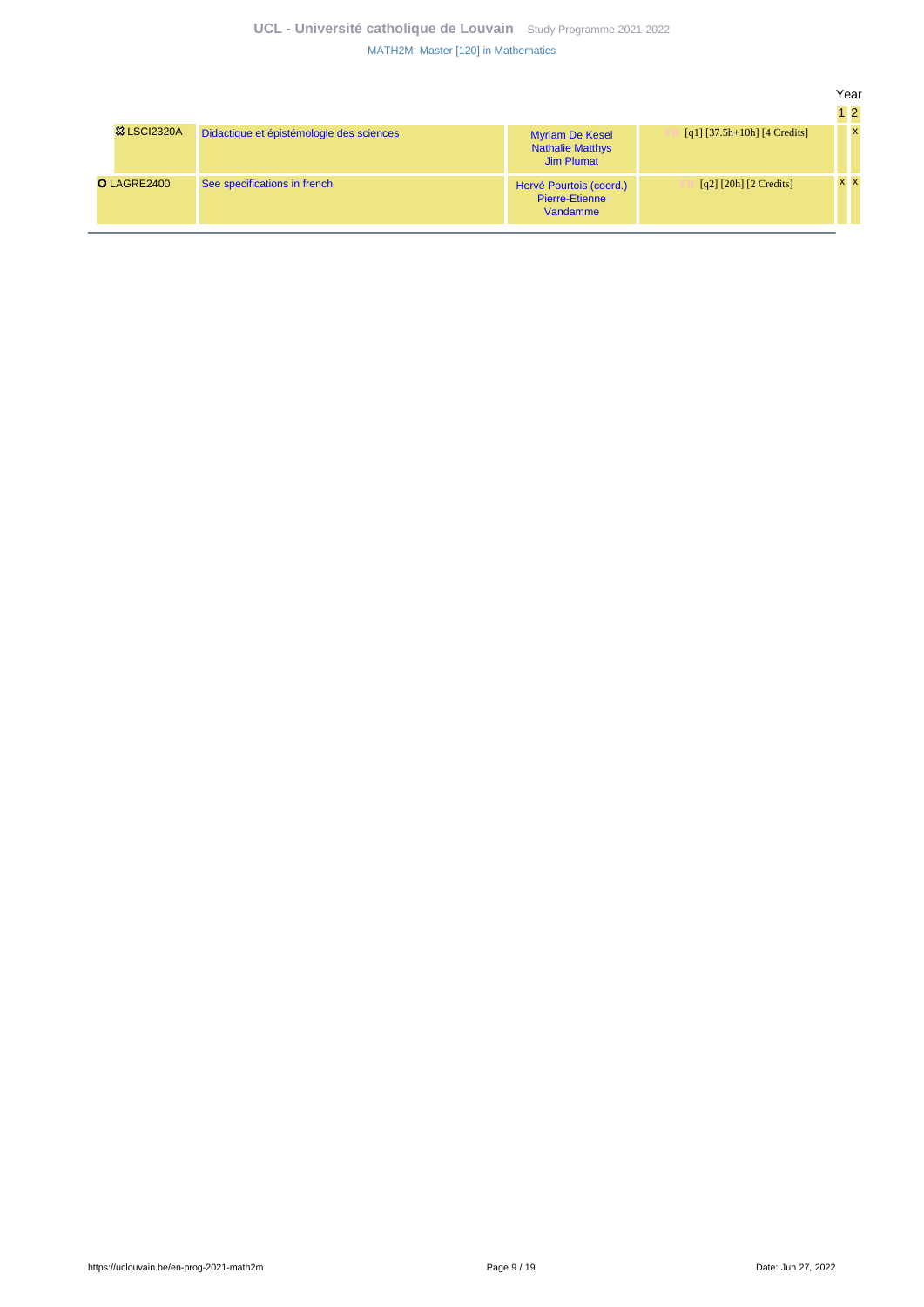### **UCL - Université catholique de Louvain** [Study Programme 2021-2022](https://uclouvain.be/en/study-programme) [MATH2M: Master \[120\] in Mathematics](https://uclouvain.be/en-prog-2021-math2m.html)

|                        |                                          |                                                                        |                                | Year | 1 <sup>2</sup> |  |
|------------------------|------------------------------------------|------------------------------------------------------------------------|--------------------------------|------|----------------|--|
| <b>&amp; LSCI2320A</b> | Didactique et épistémologie des sciences | <b>Myriam De Kesel</b><br><b>Nathalie Matthys</b><br><b>Jim Plumat</b> | $[q1]$ [37.5h+10h] [4 Credits] |      | $\mathbf{x}$   |  |
| <b>O</b> LAGRE2400     | See specifications in french             | Hervé Pourtois (coord.)<br>Pierre-Etienne<br>Vandamme                  | $[q2]$ [20h] [2 Credits]       |      | x x            |  |
|                        |                                          |                                                                        |                                |      |                |  |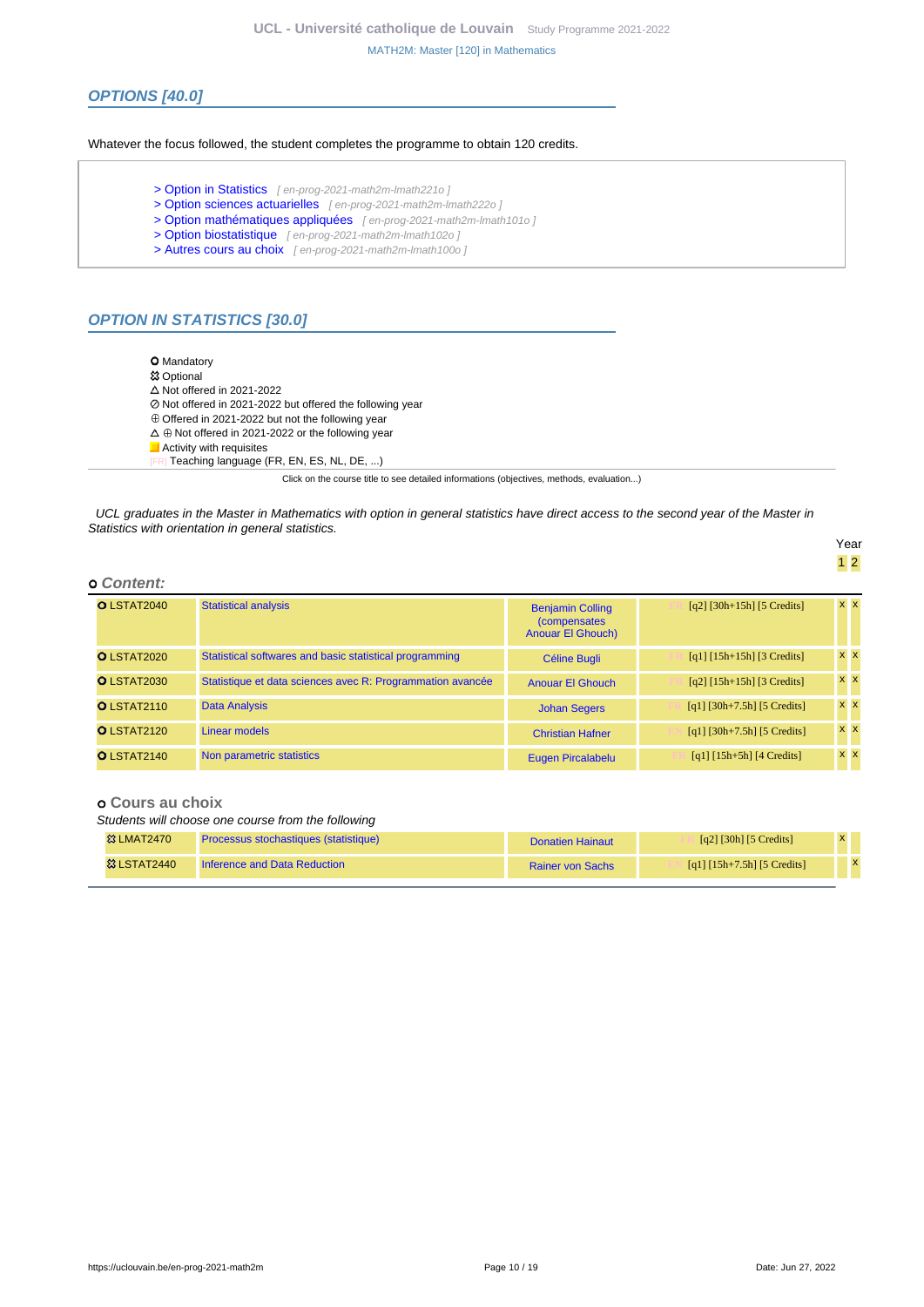### **OPTIONS [40.0]**

Whatever the focus followed, the student completes the programme to obtain 120 credits.

- [> Option in Statistics](en-prog-2021-math2m-lmath221o) [en-prog-2021-math2m-lmath221o]
- [> Option sciences actuarielles](en-prog-2021-math2m-lmath222o) [en-prog-2021-math2m-lmath222o]
- [> Option mathématiques appliquées](en-prog-2021-math2m-lmath101o) [en-prog-2021-math2m-lmath101o]
- [> Option biostatistique](en-prog-2021-math2m-lmath102o) [ en-prog-2021-math2m-lmath102o ]
- [> Autres cours au choix](en-prog-2021-math2m-lmath100o) [ en-prog-2021-math2m-lmath100o ]

#### **OPTION IN STATISTICS [30.0]**

**O** Mandatory Optional  $\Delta$  Not offered in 2021-2022 Not offered in 2021-2022 but offered the following year  $\oplus$  Offered in 2021-2022 but not the following year  $\Delta \oplus$  Not offered in 2021-2022 or the following year **Activity with requisites** Teaching language (FR, EN, ES, NL, DE, ...)

Click on the course title to see detailed informations (objectives, methods, evaluation...)

UCL graduates in the Master in Mathematics with option in general statistics have direct access to the second year of the Master in Statistics with orientation in general statistics.

Year 1 2

| O LSTAT2040        | <b>Statistical analysis</b>                                | <b>Benjamin Colling</b><br><i>(compensates)</i><br><b>Anouar El Ghouch)</b> | $[q2]$ [30h+15h] [5 Credits]                                         | <b>x</b> x |
|--------------------|------------------------------------------------------------|-----------------------------------------------------------------------------|----------------------------------------------------------------------|------------|
| O LSTAT2020        | Statistical softwares and basic statistical programming    | Céline Bugli                                                                | $\lceil q_1 \rceil \lceil 15h + 15h \rceil \lceil 3 \right]$ Credits | <b>x</b> x |
| <b>O LSTAT2030</b> | Statistique et data sciences avec R: Programmation avancée | <b>Anouar El Ghouch</b>                                                     | $\lceil q^2 \rceil \lceil 15h + 15h \rceil \lceil 3 \right]$ Credits | <b>x</b> x |
| <b>O LSTAT2110</b> | <b>Data Analysis</b>                                       | <b>Johan Segers</b>                                                         | $[q1]$ [30h+7.5h] [5 Credits]                                        | <b>x</b> x |
| O LSTAT2120        | Linear models                                              | <b>Christian Hafner</b>                                                     | $[q1] [30h+7.5h] [5 Credits]$                                        | <b>x</b> x |
| O LSTAT2140        | Non parametric statistics                                  | Eugen Pircalabelu                                                           | $[q1] [15h+5h] [4 Credits]$                                          | <b>x</b> x |

#### **Cours au choix**

 **Content:**

Students will choose one course from the following

| <b>&amp;3 LMAT2470</b> | Processus stochastiques (statistique) | Donatien Hainaut        | [q2] [30h] [5 Credits]        |  |
|------------------------|---------------------------------------|-------------------------|-------------------------------|--|
| <b>&amp; LSTAT2440</b> | Inference and Data Reduction          | <b>Rainer von Sachs</b> | [q1] $[15h+7.5h]$ [5 Credits] |  |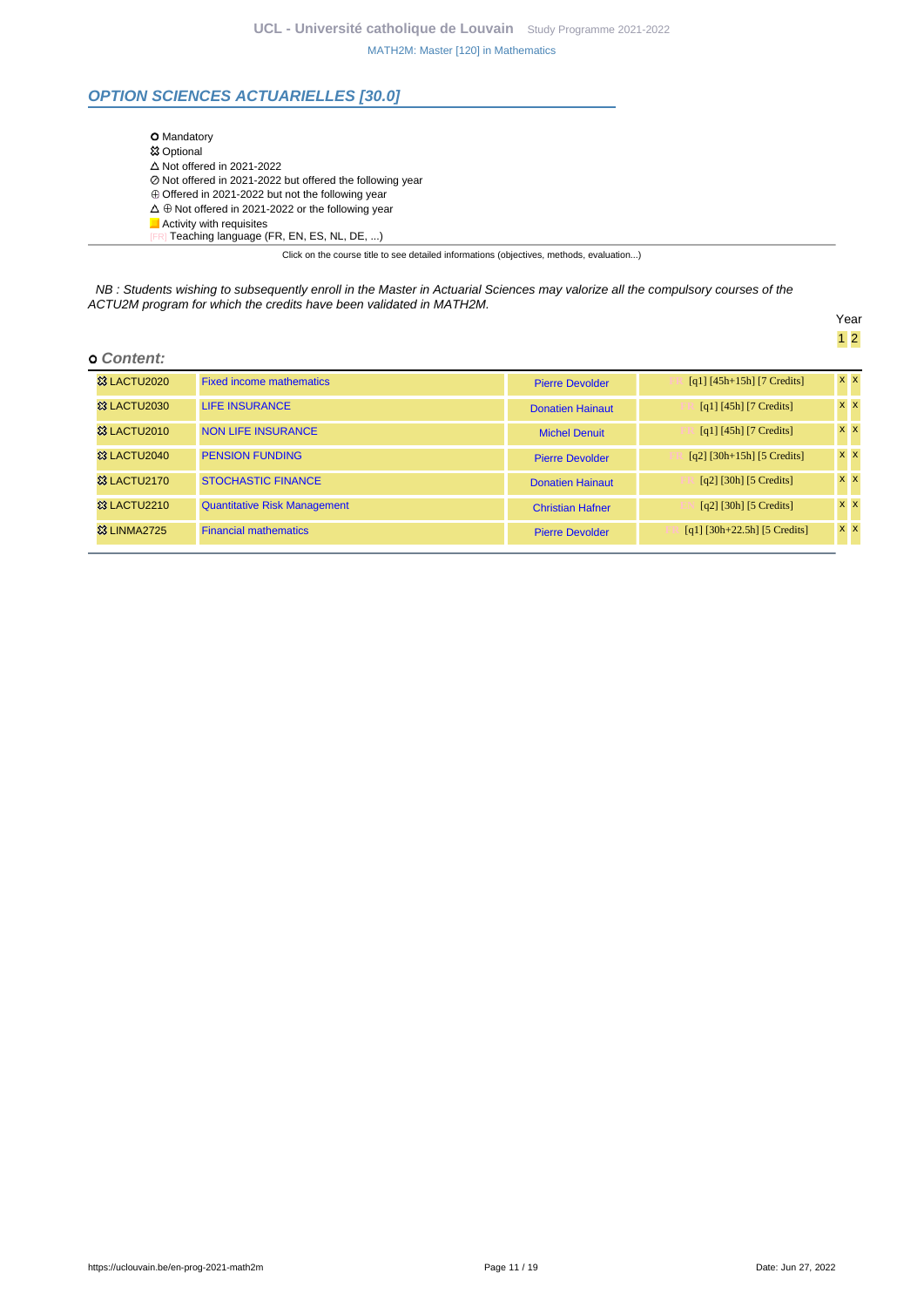### **OPTION SCIENCES ACTUARIELLES [30.0]**

| <b>O</b> Mandatory                                             |  |
|----------------------------------------------------------------|--|
| <b>惢 Optional</b>                                              |  |
| $\triangle$ Not offered in 2021-2022                           |  |
| ⊘ Not offered in 2021-2022 but offered the following year      |  |
| $\oplus$ Offered in 2021-2022 but not the following year       |  |
| $\Delta \oplus$ Not offered in 2021-2022 or the following year |  |
| Activity with requisites                                       |  |
| Teaching language (FR, EN, ES, NL, DE, )                       |  |

Click on the course title to see detailed informations (objectives, methods, evaluation...)

NB : Students wishing to subsequently enroll in the Master in Actuarial Sciences may valorize all the compulsory courses of the ACTU2M program for which the credits have been validated in MATH2M.

Year 1 2

#### **Content:**

| <b>&amp; LACTU2020</b>  | <b>Fixed income mathematics</b>     | <b>Pierre Devolder</b>  | $[q1] [45h+15h] [7 Credits]$          | $x \times$ |
|-------------------------|-------------------------------------|-------------------------|---------------------------------------|------------|
| <b>&amp;3 LACTU2030</b> | <b>LIFE INSURANCE</b>               | <b>Donatien Hainaut</b> | $[q1]$ [45h] [7 Credits]              | $x \times$ |
| 83 LACTU2010            | <b>NON LIFE INSURANCE</b>           | <b>Michel Denuit</b>    | [q1] $[45h]$ [7 Credits]              | $x \times$ |
| <b>&amp; LACTU2040</b>  | <b>PENSION FUNDING</b>              | <b>Pierre Devolder</b>  | $[q2]$ [30h+15h] [5 Credits]          | $x \times$ |
| <b>&amp; LACTU2170</b>  | <b>STOCHASTIC FINANCE</b>           | <b>Donatien Hainaut</b> | $\lceil q^2 \rceil$ [30h] [5 Credits] | $x \mid x$ |
| <b>&amp; LACTU2210</b>  | <b>Quantitative Risk Management</b> | <b>Christian Hafner</b> | $\lceil q^2 \rceil$ [30h] [5 Credits] | $x \mid x$ |
| <b>&amp; LINMA2725</b>  | <b>Financial mathematics</b>        | <b>Pierre Devolder</b>  | $[q1]$ [30h+22.5h] [5 Credits]        | $x \times$ |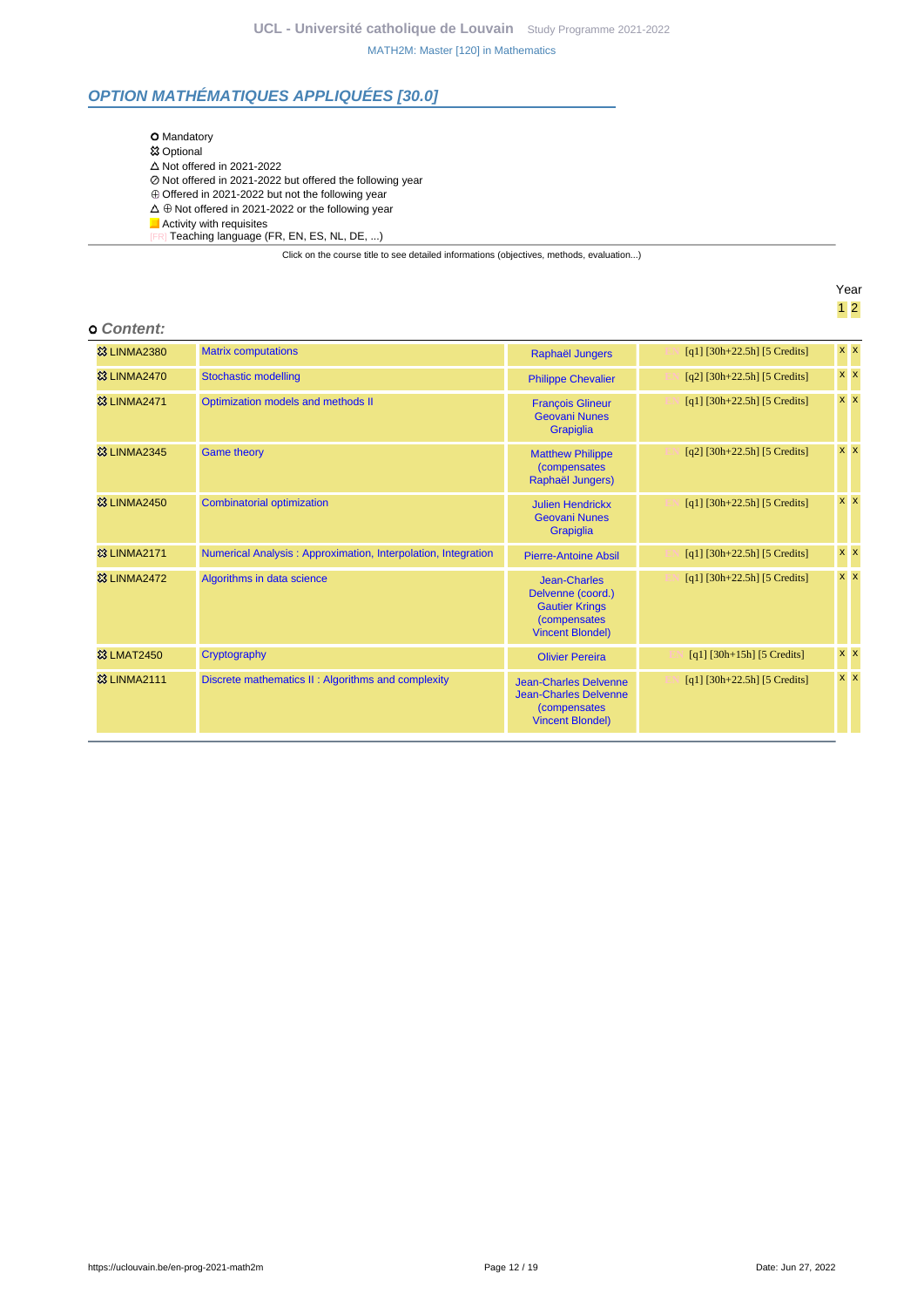### **OPTION MATHÉMATIQUES APPLIQUÉES [30.0]**

| <b>O</b> Mandatory                                                                       |
|------------------------------------------------------------------------------------------|
| <b>惢 Optional</b>                                                                        |
| $\triangle$ Not offered in 2021-2022                                                     |
| ⊘ Not offered in 2021-2022 but offered the following year                                |
| $\oplus$ Offered in 2021-2022 but not the following year                                 |
| $\Delta \oplus$ Not offered in 2021-2022 or the following year                           |
| $\blacksquare$ Activity with requisites                                                  |
| [FR] Teaching language (FR, EN, ES, NL, DE, )                                            |
| Click on the course title to see detailed informations (objectives, methods, evaluation) |
|                                                                                          |

Year 1 2

# **Content:**

| GUILEIL.                |                                                               |                                                                                                                      |                                |            |
|-------------------------|---------------------------------------------------------------|----------------------------------------------------------------------------------------------------------------------|--------------------------------|------------|
| <b>&amp;3 LINMA2380</b> | <b>Matrix computations</b>                                    | Raphaël Jungers                                                                                                      | $[q1]$ [30h+22.5h] [5 Credits] | <b>x x</b> |
| <b>&amp; LINMA2470</b>  | <b>Stochastic modelling</b>                                   | <b>Philippe Chevalier</b>                                                                                            | $[q2]$ [30h+22.5h] [5 Credits] | $x \, x$   |
| <sup>3</sup> LINMA2471  | Optimization models and methods II                            | <b>François Glineur</b><br><b>Geovani Nunes</b><br>Grapiglia                                                         | $[q1]$ [30h+22.5h] [5 Credits] | <b>x x</b> |
| <b>&amp;3 LINMA2345</b> | <b>Game theory</b>                                            | <b>Matthew Philippe</b><br><i>(compensates)</i><br>Raphaël Jungers)                                                  | $[q2]$ [30h+22.5h] [5 Credits] | $x \mid x$ |
| <b>&amp;3 LINMA2450</b> | <b>Combinatorial optimization</b>                             | <b>Julien Hendrickx</b><br><b>Geovani Nunes</b><br>Grapiglia                                                         | $[q1]$ [30h+22.5h] [5 Credits] | $x \times$ |
| <b>83 LINMA2171</b>     | Numerical Analysis: Approximation, Interpolation, Integration | <b>Pierre-Antoine Absil</b>                                                                                          | $[q1]$ [30h+22.5h] [5 Credits] | $x \, x$   |
| <b>&amp; LINMA2472</b>  | Algorithms in data science                                    | <b>Jean-Charles</b><br>Delvenne (coord.)<br><b>Gautier Krings</b><br><i>(compensates)</i><br><b>Vincent Blondel)</b> | $[q1]$ [30h+22.5h] [5 Credits] | $x \times$ |
| <b>&amp;3 LMAT2450</b>  | Cryptography                                                  | <b>Olivier Pereira</b>                                                                                               | $[q1]$ [30h+15h] [5 Credits]   | <b>x x</b> |
| <b>83 LINMA2111</b>     | Discrete mathematics II: Algorithms and complexity            | <b>Jean-Charles Delvenne</b><br><b>Jean-Charles Delvenne</b><br><i>(compensates)</i><br><b>Vincent Blondel)</b>      | $[q1]$ [30h+22.5h] [5 Credits] | $x \times$ |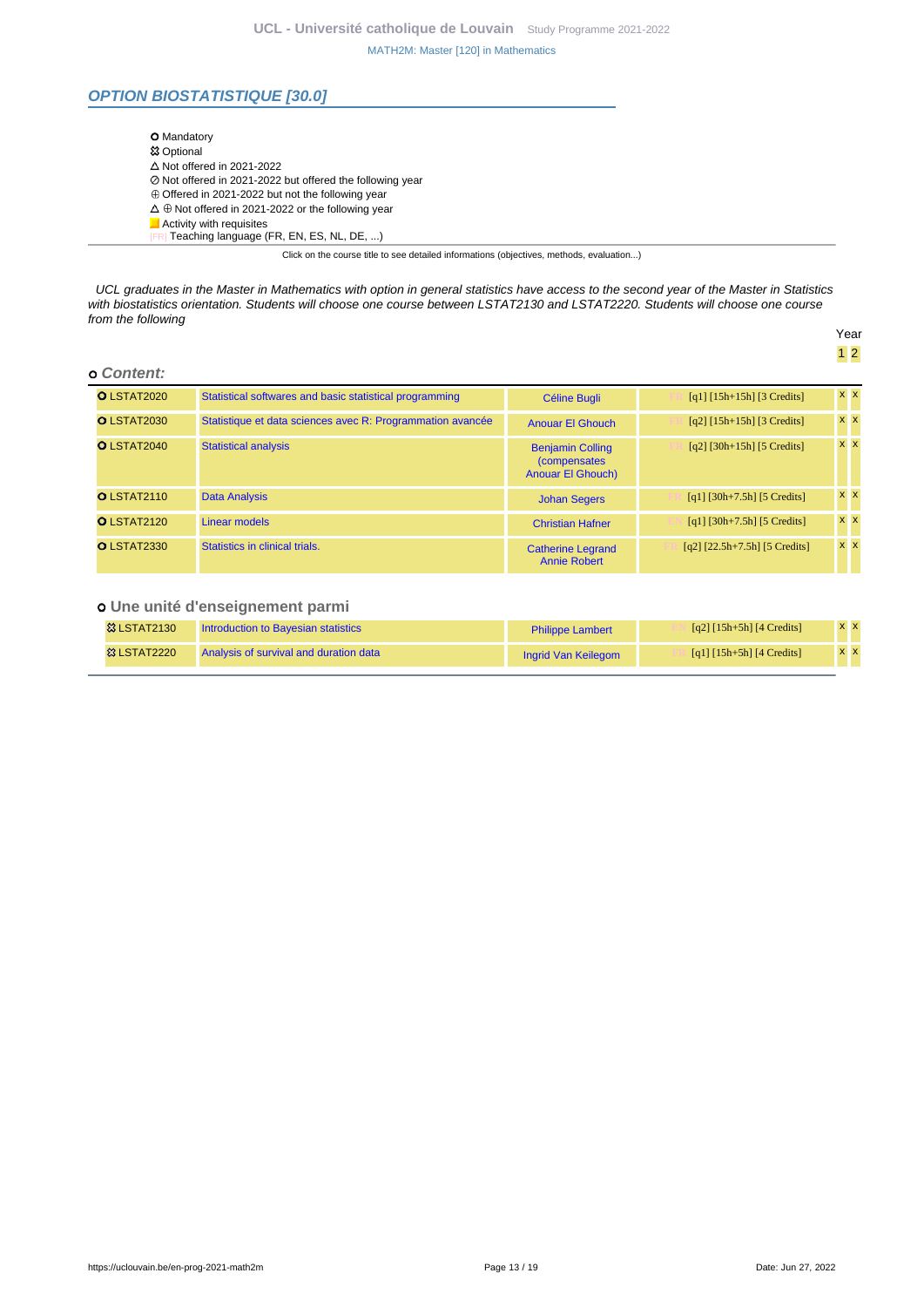### **OPTION BIOSTATISTIQUE [30.0]**

| <b>O</b> Mandatory                                             |  |
|----------------------------------------------------------------|--|
| <b>惢 Optional</b>                                              |  |
| $\Delta$ Not offered in 2021-2022                              |  |
| ⊘ Not offered in 2021-2022 but offered the following year      |  |
| $\oplus$ Offered in 2021-2022 but not the following year       |  |
| $\Delta \oplus$ Not offered in 2021-2022 or the following year |  |
| Activity with requisites                                       |  |
| Teaching language (FR, EN, ES, NL, DE, )                       |  |

Click on the course title to see detailed informations (objectives, methods, evaluation...)

UCL graduates in the Master in Mathematics with option in general statistics have access to the second year of the Master in Statistics with biostatistics orientation. Students will choose one course between LSTAT2130 and LSTAT2220. Students will choose one course from the following Year

#### **Content:**

| O LSTAT2020        | Statistical softwares and basic statistical programming    | Céline Bugli                                                                 | $\lceil q_1 \rceil \lceil 15h + 15h \rceil \lceil 3 \right]$ Credits | <b>x x</b> |
|--------------------|------------------------------------------------------------|------------------------------------------------------------------------------|----------------------------------------------------------------------|------------|
| <b>O LSTAT2030</b> | Statistique et data sciences avec R: Programmation avancée | <b>Anouar El Ghouch</b>                                                      | $\lceil q^2 \rceil \lceil 15h + 15h \rceil \lceil 3 \right]$ Credits | $x \times$ |
| O LSTAT2040        | <b>Statistical analysis</b>                                | <b>Benjamin Colling</b><br><i>(compensates)</i><br><b>Anouar El Ghouch</b> ) | $[q2]$ [30h+15h] [5 Credits]                                         | $x \times$ |
| <b>O</b> LSTAT2110 | <b>Data Analysis</b>                                       | <b>Johan Segers</b>                                                          | $[q1] [30h+7.5h] [5 Credits]$                                        | $x \times$ |
| O LSTAT2120        | Linear models                                              | <b>Christian Hafner</b>                                                      | $[q1]$ [30h+7.5h] [5 Credits]                                        | $x \, x$   |
| O LSTAT2330        | Statistics in clinical trials.                             | <b>Catherine Legrand</b><br><b>Annie Robert</b>                              | $[q2]$ $[22.5h+7.5h]$ $[5$ Credits]                                  | $x \mid x$ |

### **Une unité d'enseignement parmi**

| <b>&amp; LSTAT2130</b> | Introduction to Bavesian statistics    | <b>Philippe Lambert</b> | $\lceil q^2 \rceil \lceil 15h + 5h \rceil \lceil 4 \right]$ | <b>XX</b> |
|------------------------|----------------------------------------|-------------------------|-------------------------------------------------------------|-----------|
| <b>&amp; LSTAT2220</b> | Analysis of survival and duration data | Ingrid Van Keilegom     | [q1] $[15h+5h]$ [4 Credits]                                 | <b>XX</b> |

1 2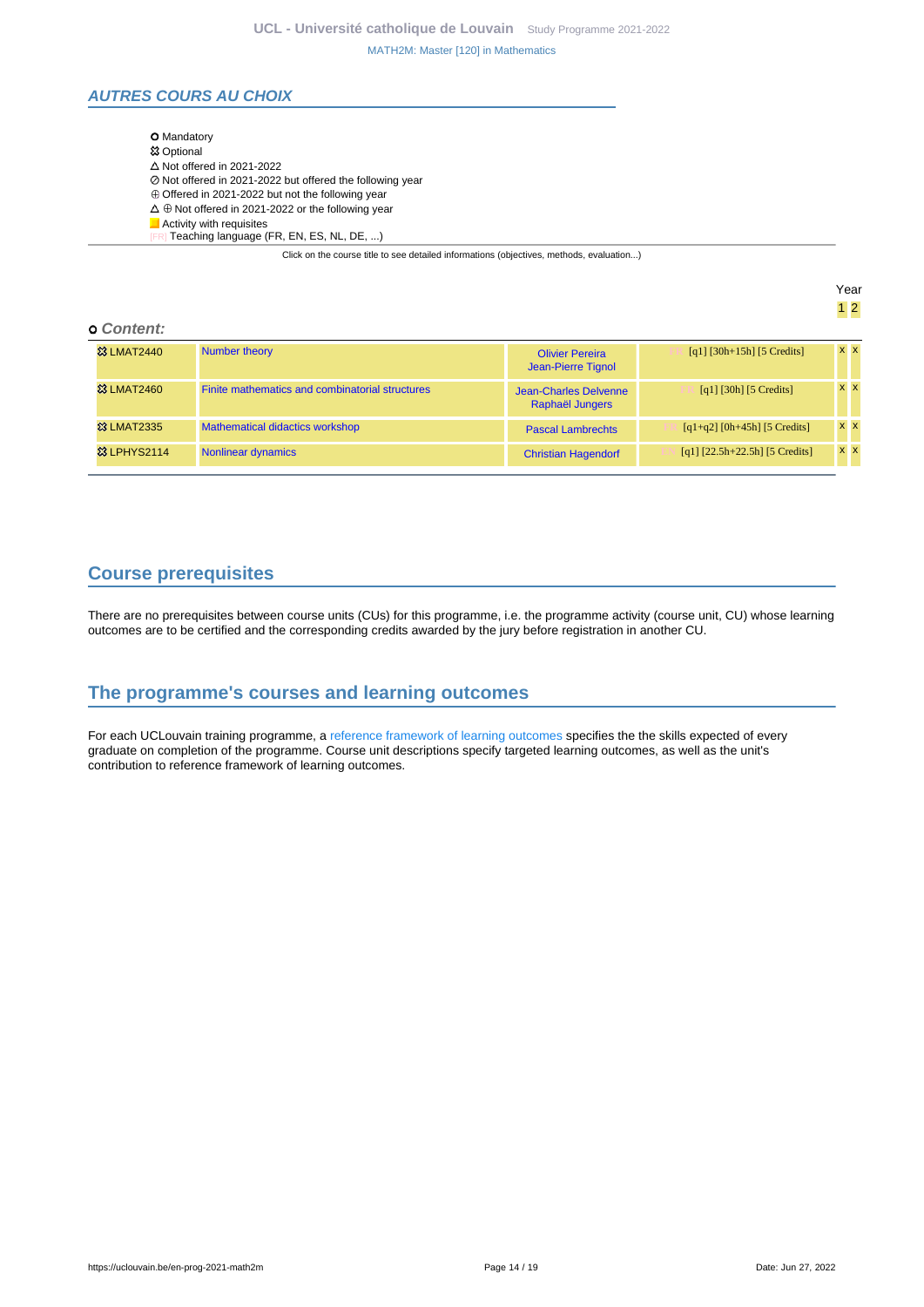### **AUTRES COURS AU CHOIX**

| <b>O</b> Mandatory                                                                       |
|------------------------------------------------------------------------------------------|
| <b>惢 Optional</b>                                                                        |
| $\Delta$ Not offered in 2021-2022                                                        |
| ⊘ Not offered in 2021-2022 but offered the following year                                |
| $\oplus$ Offered in 2021-2022 but not the following year                                 |
| $\Delta \oplus$ Not offered in 2021-2022 or the following year                           |
| $\blacksquare$ Activity with requisites                                                  |
| Teaching language (FR, EN, ES, NL, DE, )                                                 |
| Click on the course title to see detailed informations (objectives, methods, evaluation) |

Year 1 2

#### **Content:**

| <b>&amp;3 LMAT2440</b> | Number theory                                   | <b>Olivier Pereira</b><br>Jean-Pierre Tignol | $[q1] [30h+15h] [5 Credits]$          | <b>x x</b> |
|------------------------|-------------------------------------------------|----------------------------------------------|---------------------------------------|------------|
| <b>&amp; LMAT2460</b>  | Finite mathematics and combinatorial structures | Jean-Charles Delvenne<br>Raphaël Jungers     | $\lceil q_1 \rceil$ [30h] [5 Credits] | <b>x x</b> |
| <b>&amp; LMAT2335</b>  | <b>Mathematical didactics workshop</b>          | <b>Pascal Lambrechts</b>                     | $[q1+q2]$ [0h+45h] [5 Credits]        | <b>x x</b> |
| <b>&amp; LPHYS2114</b> | Nonlinear dynamics                              | <b>Christian Hagendorf</b>                   | $[q1]$ $[22.5h+22.5h]$ $[5$ Credits]  | x x        |

### <span id="page-13-0"></span>**Course prerequisites**

There are no prerequisites between course units (CUs) for this programme, i.e. the programme activity (course unit, CU) whose learning outcomes are to be certified and the corresponding credits awarded by the jury before registration in another CU.

### <span id="page-13-1"></span>**The programme's courses and learning outcomes**

For each UCLouvain training programme, a [reference framework of learning outcomes](https://uclouvain.be/en-prog-2021-math2m-competences_et_acquis.html) specifies the the skills expected of every graduate on completion of the programme. Course unit descriptions specify targeted learning outcomes, as well as the unit's contribution to reference framework of learning outcomes.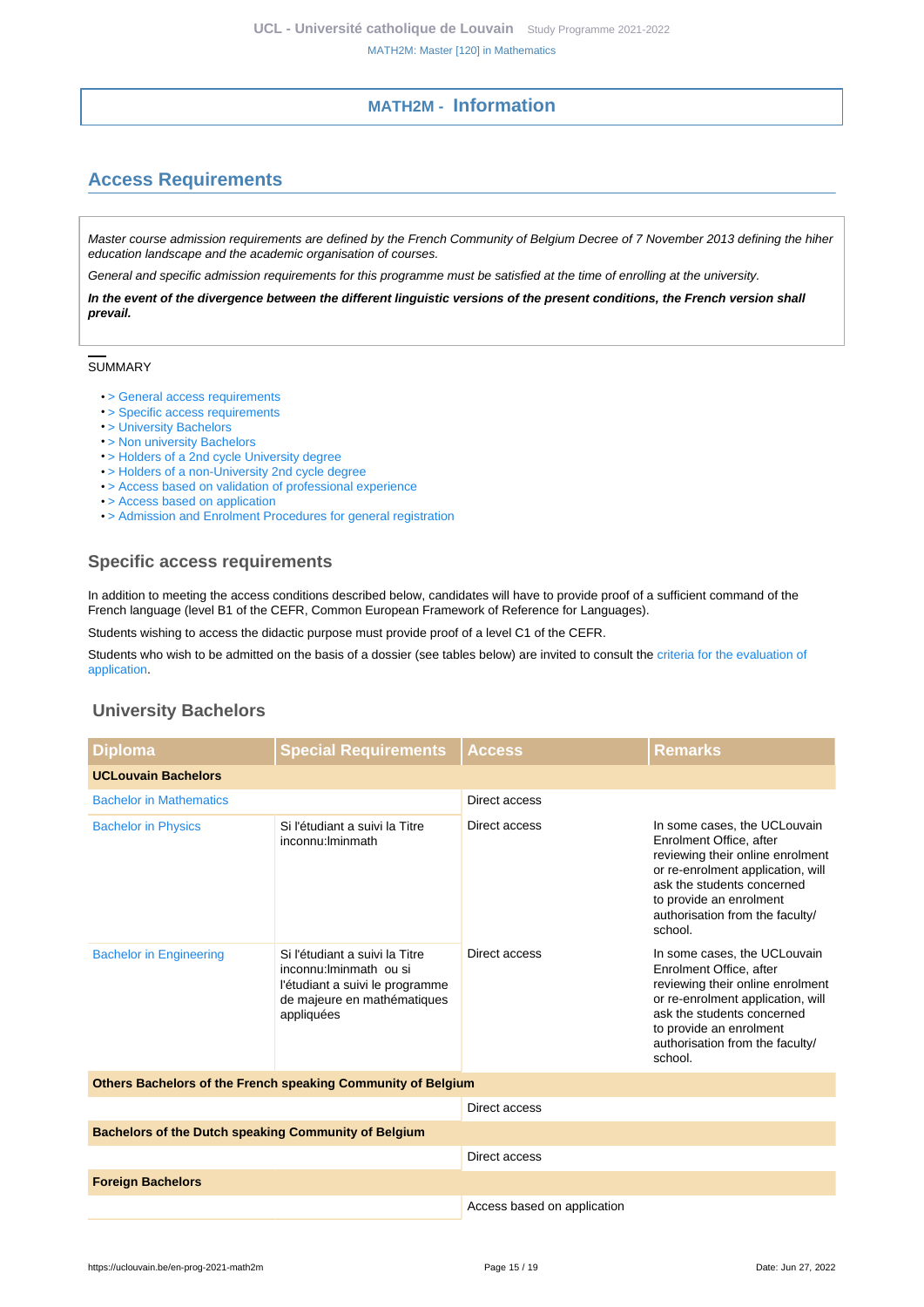### **MATH2M - Information**

## <span id="page-14-1"></span><span id="page-14-0"></span>**Access Requirements**

Master course admission requirements are defined by the French Community of Belgium Decree of 7 November 2013 defining the hiher education landscape and the academic organisation of courses.

General and specific admission requirements for this programme must be satisfied at the time of enrolling at the university.

**In the event of the divergence between the different linguistic versions of the present conditions, the French version shall prevail.**

#### SUMMARY

- [> General access requirements](https://uclouvain.be/en-prog-2021-math2m-cond_gen_adm_masters)
- [> Specific access requirements](#page-14-2)
- [> University Bachelors](#page-14-3)
- [> Non university Bachelors](#page-15-0)
- [> Holders of a 2nd cycle University degree](#page-15-1)
- [> Holders of a non-University 2nd cycle degree](#page-15-2)
- [> Access based on validation of professional experience](#page-15-3)
- [> Access based on application](#page-15-4)
- [> Admission and Enrolment Procedures for general registration](#page-15-5)

### <span id="page-14-2"></span>**Specific access requirements**

In addition to meeting the access conditions described below, candidates will have to provide proof of a sufficient command of the French language (level B1 of the CEFR, Common European Framework of Reference for Languages).

Students wishing to access the didactic purpose must provide proof of a level C1 of the CEFR.

Students who wish to be admitted on the basis of a dossier (see tables below) are invited to consult the [criteria for the evaluation of](https://cdn.uclouvain.be/cdn-osis/ppe/2021/sc/documents/conditions_admission_master%20_SC.pdf) [application.](https://cdn.uclouvain.be/cdn-osis/ppe/2021/sc/documents/conditions_admission_master%20_SC.pdf)

### <span id="page-14-3"></span>**University Bachelors**

| <b>Diploma</b>                                               | <b>Special Requirements</b>                                                                                                               | <b>Access</b> | <b>Remarks</b>                                                                                                                                                                                                                          |  |
|--------------------------------------------------------------|-------------------------------------------------------------------------------------------------------------------------------------------|---------------|-----------------------------------------------------------------------------------------------------------------------------------------------------------------------------------------------------------------------------------------|--|
| <b>UCLouvain Bachelors</b>                                   |                                                                                                                                           |               |                                                                                                                                                                                                                                         |  |
| <b>Bachelor in Mathematics</b>                               |                                                                                                                                           | Direct access |                                                                                                                                                                                                                                         |  |
| <b>Bachelor in Physics</b>                                   | Si l'étudiant a suivi la Titre<br>inconnu: Iminmath                                                                                       | Direct access | In some cases, the UCLouvain<br>Enrolment Office, after<br>reviewing their online enrolment<br>or re-enrolment application, will<br>ask the students concerned<br>to provide an enrolment<br>authorisation from the faculty/<br>school. |  |
| <b>Bachelor in Engineering</b>                               | Si l'étudiant a suivi la Titre<br>inconnu: Iminmath ou si<br>l'étudiant a suivi le programme<br>de majeure en mathématiques<br>appliquées | Direct access | In some cases, the UCLouvain<br>Enrolment Office, after<br>reviewing their online enrolment<br>or re-enrolment application, will<br>ask the students concerned<br>to provide an enrolment<br>authorisation from the faculty/<br>school. |  |
| Others Bachelors of the French speaking Community of Belgium |                                                                                                                                           |               |                                                                                                                                                                                                                                         |  |
|                                                              |                                                                                                                                           | Direct access |                                                                                                                                                                                                                                         |  |
| <b>Bachelors of the Dutch speaking Community of Belgium</b>  |                                                                                                                                           |               |                                                                                                                                                                                                                                         |  |
|                                                              |                                                                                                                                           | Direct access |                                                                                                                                                                                                                                         |  |
| <b>Foreign Bachelors</b>                                     |                                                                                                                                           |               |                                                                                                                                                                                                                                         |  |

Access based on application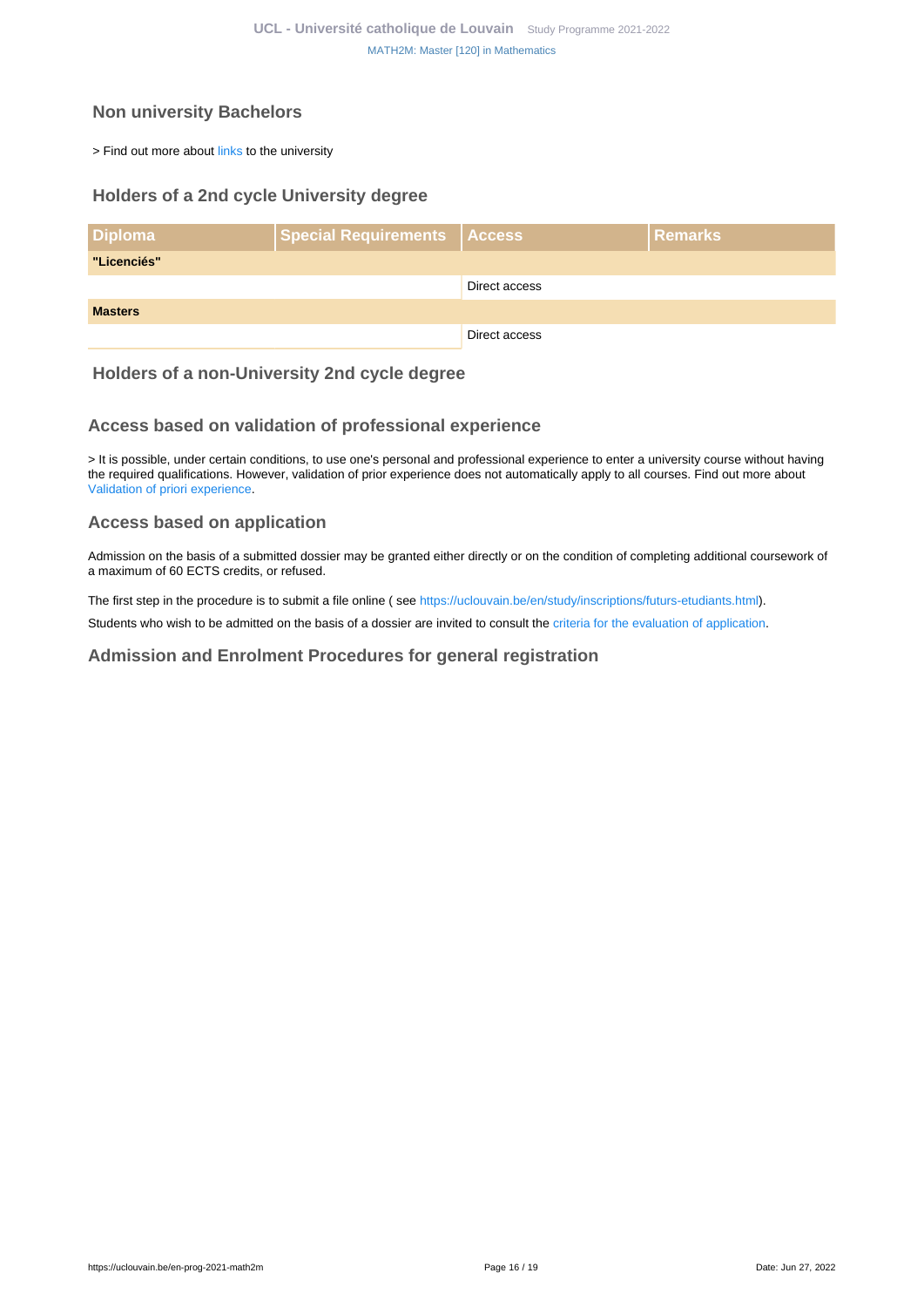### <span id="page-15-0"></span>**Non university Bachelors**

> Find out more about [links](https://uclouvain.be/fr/etudier/passerelles) to the university

### <span id="page-15-1"></span>**Holders of a 2nd cycle University degree**

| <b>Diploma</b> | Special Requirements   Access |               | <b>Remarks</b> |
|----------------|-------------------------------|---------------|----------------|
| "Licenciés"    |                               |               |                |
|                |                               | Direct access |                |
| <b>Masters</b> |                               |               |                |
|                |                               | Direct access |                |

### <span id="page-15-2"></span>**Holders of a non-University 2nd cycle degree**

### <span id="page-15-3"></span>**Access based on validation of professional experience**

> It is possible, under certain conditions, to use one's personal and professional experience to enter a university course without having the required qualifications. However, validation of prior experience does not automatically apply to all courses. Find out more about [Validation of priori experience](https://uclouvain.be/en/study/vae).

### <span id="page-15-4"></span>**Access based on application**

Admission on the basis of a submitted dossier may be granted either directly or on the condition of completing additional coursework of a maximum of 60 ECTS credits, or refused.

The first step in the procedure is to submit a file online ( see [https://uclouvain.be/en/study/inscriptions/futurs-etudiants.html\)](https://uclouvain.be/en/study/inscriptions/futurs-etudiants.html).

Students who wish to be admitted on the basis of a dossier are invited to consult the [criteria for the evaluation of application](https://cdn.uclouvain.be/cdn-osis/ppe/2021/sc/documents/conditions_admission_master%20_SC.pdf).

#### <span id="page-15-5"></span>**Admission and Enrolment Procedures for general registration**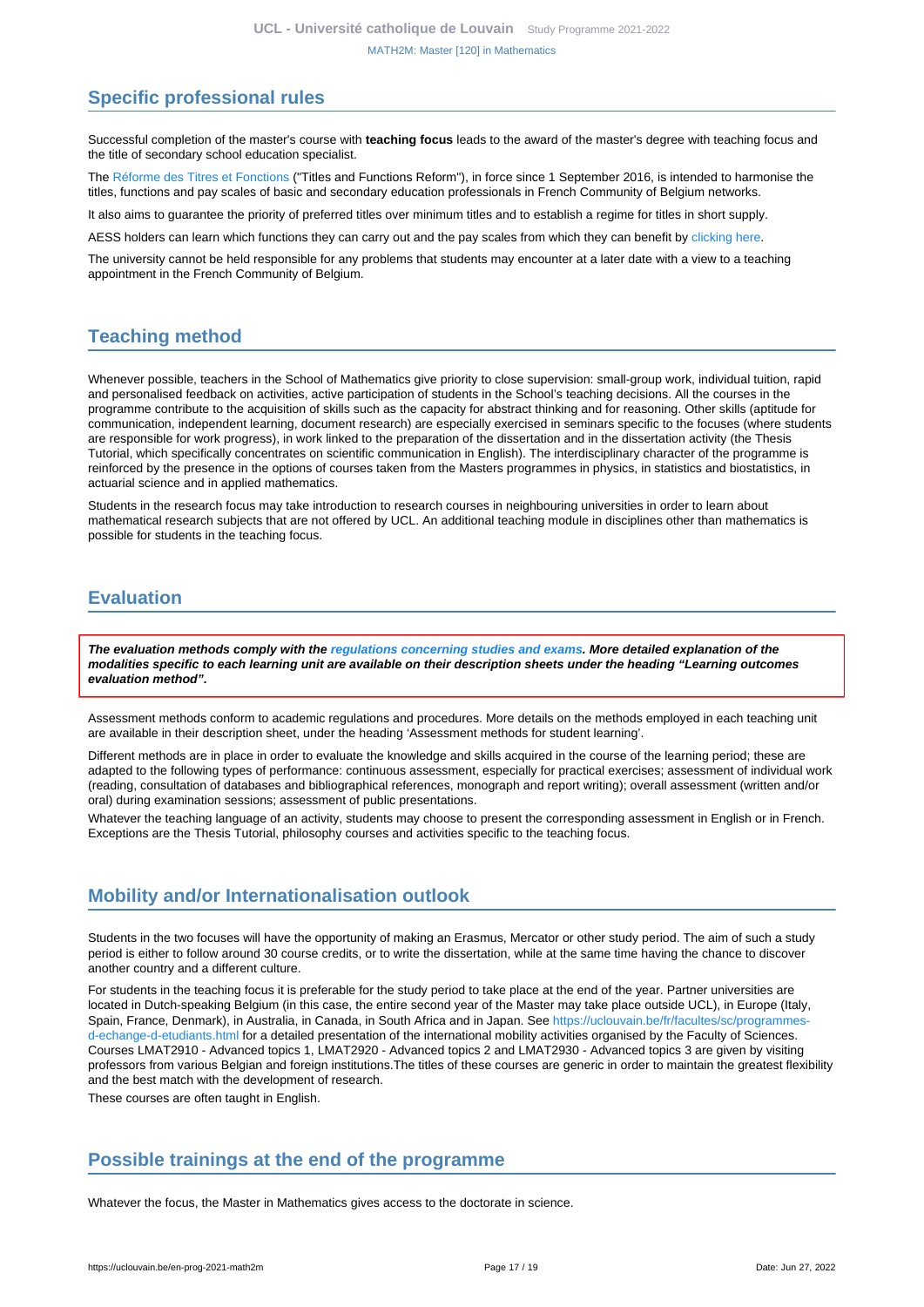### <span id="page-16-0"></span>**Specific professional rules**

Successful completion of the master's course with **teaching focus** leads to the award of the master's degree with teaching focus and the title of secondary school education specialist.

The [Réforme des Titres et Fonctions](http://www.enseignement.be/primoweb) ("Titles and Functions Reform"), in force since 1 September 2016, is intended to harmonise the titles, functions and pay scales of basic and secondary education professionals in French Community of Belgium networks.

It also aims to guarantee the priority of preferred titles over minimum titles and to establish a regime for titles in short supply.

AESS holders can learn which functions they can carry out and the pay scales from which they can benefit by [clicking here](http://www.enseignement.be/primoweb).

The university cannot be held responsible for any problems that students may encounter at a later date with a view to a teaching appointment in the French Community of Belgium.

### <span id="page-16-1"></span>**Teaching method**

Whenever possible, teachers in the School of Mathematics give priority to close supervision: small-group work, individual tuition, rapid and personalised feedback on activities, active participation of students in the School's teaching decisions. All the courses in the programme contribute to the acquisition of skills such as the capacity for abstract thinking and for reasoning. Other skills (aptitude for communication, independent learning, document research) are especially exercised in seminars specific to the focuses (where students are responsible for work progress), in work linked to the preparation of the dissertation and in the dissertation activity (the Thesis Tutorial, which specifically concentrates on scientific communication in English). The interdisciplinary character of the programme is reinforced by the presence in the options of courses taken from the Masters programmes in physics, in statistics and biostatistics, in actuarial science and in applied mathematics.

Students in the research focus may take introduction to research courses in neighbouring universities in order to learn about mathematical research subjects that are not offered by UCL. An additional teaching module in disciplines other than mathematics is possible for students in the teaching focus.

### <span id="page-16-2"></span>**Evaluation**

**The evaluation methods comply with the [regulations concerning studies and exams](https://uclouvain.be/fr/decouvrir/rgee.html). More detailed explanation of the modalities specific to each learning unit are available on their description sheets under the heading "Learning outcomes evaluation method".**

Assessment methods conform to academic regulations and procedures. More details on the methods employed in each teaching unit are available in their description sheet, under the heading 'Assessment methods for student learning'.

Different methods are in place in order to evaluate the knowledge and skills acquired in the course of the learning period; these are adapted to the following types of performance: continuous assessment, especially for practical exercises; assessment of individual work (reading, consultation of databases and bibliographical references, monograph and report writing); overall assessment (written and/or oral) during examination sessions; assessment of public presentations.

Whatever the teaching language of an activity, students may choose to present the corresponding assessment in English or in French. Exceptions are the Thesis Tutorial, philosophy courses and activities specific to the teaching focus.

### <span id="page-16-3"></span>**Mobility and/or Internationalisation outlook**

Students in the two focuses will have the opportunity of making an Erasmus, Mercator or other study period. The aim of such a study period is either to follow around 30 course credits, or to write the dissertation, while at the same time having the chance to discover another country and a different culture.

For students in the teaching focus it is preferable for the study period to take place at the end of the year. Partner universities are located in Dutch-speaking Belgium (in this case, the entire second year of the Master may take place outside UCL), in Europe (Italy, Spain, France, Denmark), in Australia, in Canada, in South Africa and in Japan. See https://uclouvain.be/fr/facultes/sc/programmes [d-echange-d-etudiants.html](https://uclouvain.be/fr/facultes/sc/programmes-d-echange-d-etudiants.html) for a detailed presentation of the international mobility activities organised by the Faculty of Sciences. Courses LMAT2910 - Advanced topics 1, LMAT2920 - Advanced topics 2 and LMAT2930 - Advanced topics 3 are given by visiting professors from various Belgian and foreign institutions.The titles of these courses are generic in order to maintain the greatest flexibility and the best match with the development of research.

These courses are often taught in English.

### <span id="page-16-4"></span>**Possible trainings at the end of the programme**

Whatever the focus, the Master in Mathematics gives access to the doctorate in science.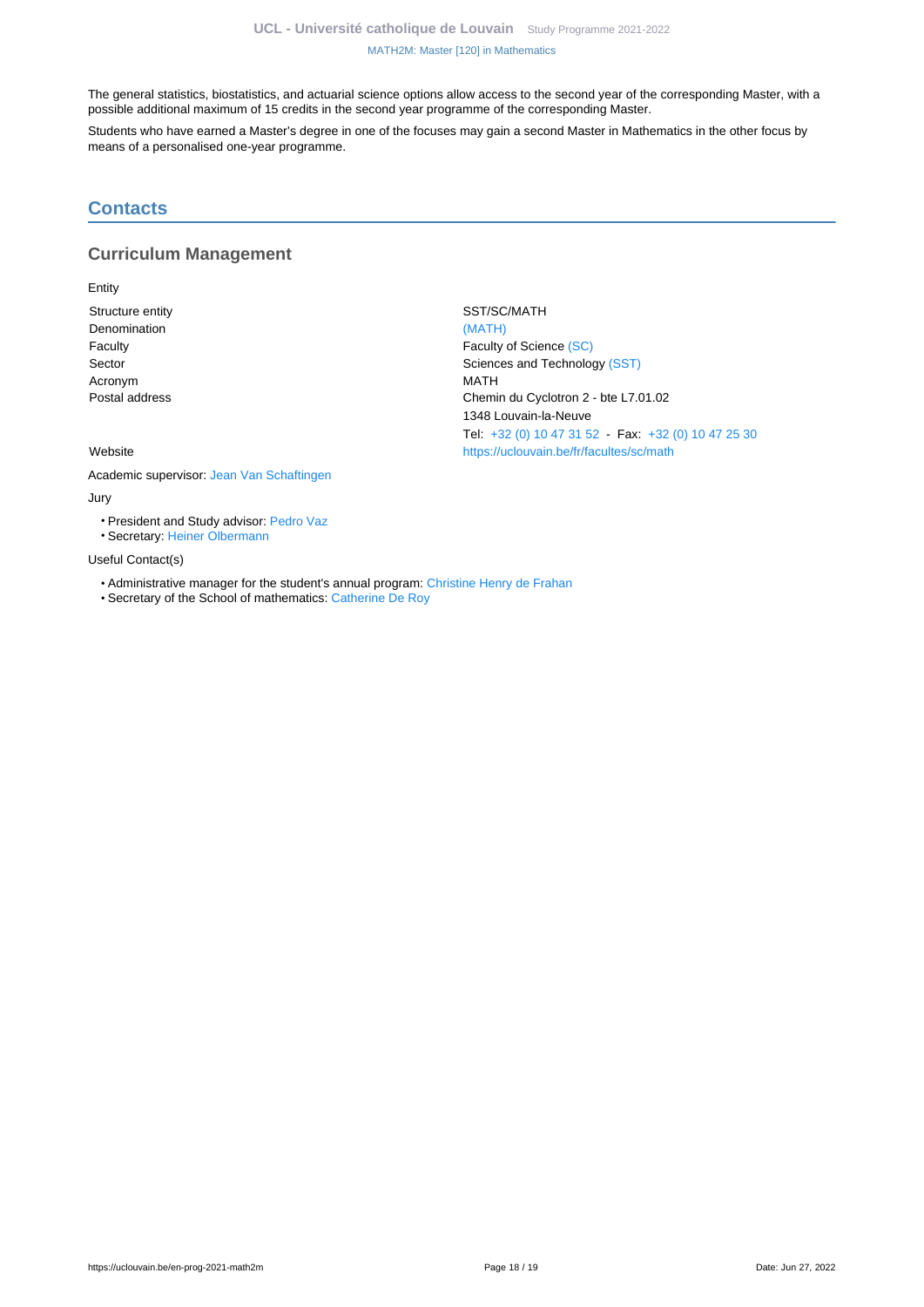The general statistics, biostatistics, and actuarial science options allow access to the second year of the corresponding Master, with a possible additional maximum of 15 credits in the second year programme of the corresponding Master.

Students who have earned a Master's degree in one of the focuses may gain a second Master in Mathematics in the other focus by means of a personalised one-year programme.

### <span id="page-17-0"></span>**Contacts**

### **Curriculum Management**

Entity

Structure entity SST/SC/MATH Denomination [\(MATH\)](https://uclouvain.be/repertoires/entites/math) Acronym MATH

Faculty **Faculty Faculty Faculty** of Science [\(SC\)](https://uclouvain.be/repertoires/entites/sc) Sector Sector Sector Sciences and Technology [\(SST\)](https://uclouvain.be/repertoires/entites/sst) Postal address **Chemin du Cyclotron 2 - bte L7.01.02** 1348 Louvain-la-Neuve Tel: [+32 \(0\) 10 47 31 52](https://uclouvain.be/tel:+3210473152) - Fax: [+32 \(0\) 10 47 25 30](https://uclouvain.be/tel:+3210472530) Website <https://uclouvain.be/fr/facultes/sc/math>

Academic supervisor: [Jean Van Schaftingen](https://uclouvain.be/repertoires/jean.vanschaftingen)

#### Jury

• President and Study advisor: [Pedro Vaz](https://uclouvain.be/repertoires/pedro.vaz)

• Secretary: [Heiner Olbermann](https://uclouvain.be/repertoires/heiner.olbermann)

#### Useful Contact(s)

- Administrative manager for the student's annual program: [Christine Henry de Frahan](https://uclouvain.be/repertoires/christine.henrydefrahan)
- Secretary of the School of mathematics: [Catherine De Roy](https://uclouvain.be/repertoires/catherine.deroy)